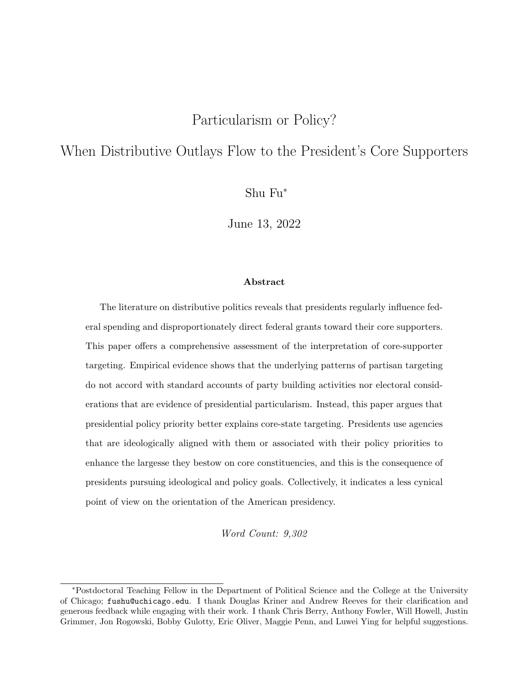### Particularism or Policy?

## When Distributive Outlays Flow to the President's Core Supporters

Shu Fu<sup>∗</sup>

June 13, 2022

#### Abstract

The literature on distributive politics reveals that presidents regularly influence federal spending and disproportionately direct federal grants toward their core supporters. This paper offers a comprehensive assessment of the interpretation of core-supporter targeting. Empirical evidence shows that the underlying patterns of partisan targeting do not accord with standard accounts of party building activities nor electoral considerations that are evidence of presidential particularism. Instead, this paper argues that presidential policy priority better explains core-state targeting. Presidents use agencies that are ideologically aligned with them or associated with their policy priorities to enhance the largesse they bestow on core constituencies, and this is the consequence of presidents pursuing ideological and policy goals. Collectively, it indicates a less cynical point of view on the orientation of the American presidency.

Word Count: 9,302

<sup>∗</sup>Postdoctoral Teaching Fellow in the Department of Political Science and the College at the University of Chicago; fushu@uchicago.edu. I thank Douglas Kriner and Andrew Reeves for their clarification and generous feedback while engaging with their work. I thank Chris Berry, Anthony Fowler, Will Howell, Justin Grimmer, Jon Rogowski, Bobby Gulotty, Eric Oliver, Maggie Penn, and Luwei Ying for helpful suggestions.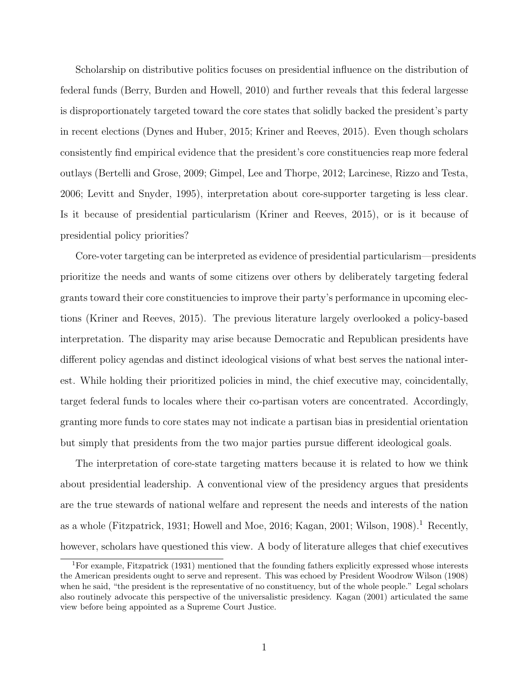Scholarship on distributive politics focuses on presidential influence on the distribution of federal funds [\(Berry, Burden and Howell,](#page-33-0) [2010\)](#page-33-0) and further reveals that this federal largesse is disproportionately targeted toward the core states that solidly backed the president's party in recent elections [\(Dynes and Huber,](#page-34-0) [2015;](#page-34-0) [Kriner and Reeves,](#page-35-0) [2015\)](#page-35-0). Even though scholars consistently find empirical evidence that the president's core constituencies reap more federal outlays [\(Bertelli and Grose,](#page-33-1) [2009;](#page-33-1) [Gimpel, Lee and Thorpe,](#page-34-1) [2012;](#page-34-1) [Larcinese, Rizzo and Testa,](#page-35-1) [2006;](#page-35-1) [Levitt and Snyder,](#page-36-0) [1995\)](#page-36-0), interpretation about core-supporter targeting is less clear. Is it because of presidential particularism [\(Kriner and Reeves,](#page-35-0) [2015\)](#page-35-0), or is it because of presidential policy priorities?

Core-voter targeting can be interpreted as evidence of presidential particularism—presidents prioritize the needs and wants of some citizens over others by deliberately targeting federal grants toward their core constituencies to improve their party's performance in upcoming elections [\(Kriner and Reeves,](#page-35-0) [2015\)](#page-35-0). The previous literature largely overlooked a policy-based interpretation. The disparity may arise because Democratic and Republican presidents have different policy agendas and distinct ideological visions of what best serves the national interest. While holding their prioritized policies in mind, the chief executive may, coincidentally, target federal funds to locales where their co-partisan voters are concentrated. Accordingly, granting more funds to core states may not indicate a partisan bias in presidential orientation but simply that presidents from the two major parties pursue different ideological goals.

The interpretation of core-state targeting matters because it is related to how we think about presidential leadership. A conventional view of the presidency argues that presidents are the true stewards of national welfare and represent the needs and interests of the nation as a whole [\(Fitzpatrick,](#page-34-2) [1931;](#page-34-2) [Howell and Moe,](#page-35-2) [2016;](#page-35-2) [Kagan,](#page-35-3) [2001;](#page-35-3) [Wilson,](#page-37-0) [1908\)](#page-37-0).<sup>[1](#page-1-0)</sup> Recently, however, scholars have questioned this view. A body of literature alleges that chief executives

<span id="page-1-0"></span><sup>1</sup>For example, [Fitzpatrick](#page-34-2) [\(1931\)](#page-34-2) mentioned that the founding fathers explicitly expressed whose interests the American presidents ought to serve and represent. This was echoed by President Woodrow [Wilson](#page-37-0) [\(1908\)](#page-37-0) when he said, "the president is the representative of no constituency, but of the whole people." Legal scholars also routinely advocate this perspective of the universalistic presidency. [Kagan](#page-35-3) [\(2001\)](#page-35-3) articulated the same view before being appointed as a Supreme Court Justice.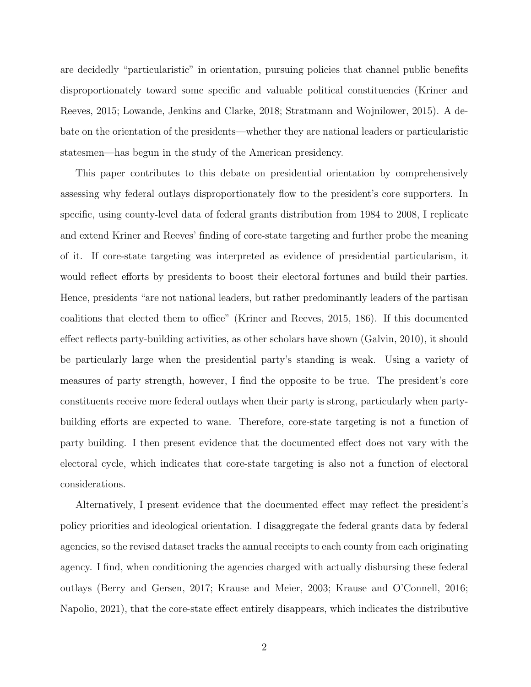are decidedly "particularistic" in orientation, pursuing policies that channel public benefits disproportionately toward some specific and valuable political constituencies [\(Kriner and](#page-35-0) [Reeves,](#page-35-0) [2015;](#page-35-0) [Lowande, Jenkins and Clarke,](#page-36-1) [2018;](#page-36-1) [Stratmann and Wojnilower,](#page-37-1) [2015\)](#page-37-1). A debate on the orientation of the presidents—whether they are national leaders or particularistic statesmen—has begun in the study of the American presidency.

This paper contributes to this debate on presidential orientation by comprehensively assessing why federal outlays disproportionately flow to the president's core supporters. In specific, using county-level data of federal grants distribution from 1984 to 2008, I replicate and extend Kriner and Reeves' finding of core-state targeting and further probe the meaning of it. If core-state targeting was interpreted as evidence of presidential particularism, it would reflect efforts by presidents to boost their electoral fortunes and build their parties. Hence, presidents "are not national leaders, but rather predominantly leaders of the partisan coalitions that elected them to office" [\(Kriner and Reeves,](#page-35-0) [2015,](#page-35-0) 186). If this documented effect reflects party-building activities, as other scholars have shown [\(Galvin,](#page-34-3) [2010\)](#page-34-3), it should be particularly large when the presidential party's standing is weak. Using a variety of measures of party strength, however, I find the opposite to be true. The president's core constituents receive more federal outlays when their party is strong, particularly when partybuilding efforts are expected to wane. Therefore, core-state targeting is not a function of party building. I then present evidence that the documented effect does not vary with the electoral cycle, which indicates that core-state targeting is also not a function of electoral considerations.

Alternatively, I present evidence that the documented effect may reflect the president's policy priorities and ideological orientation. I disaggregate the federal grants data by federal agencies, so the revised dataset tracks the annual receipts to each county from each originating agency. I find, when conditioning the agencies charged with actually disbursing these federal outlays [\(Berry and Gersen,](#page-33-2) [2017;](#page-33-2) [Krause and Meier,](#page-35-4) [2003;](#page-35-4) [Krause and O'Connell,](#page-35-5) [2016;](#page-35-5) [Napolio,](#page-36-2) [2021\)](#page-36-2), that the core-state effect entirely disappears, which indicates the distributive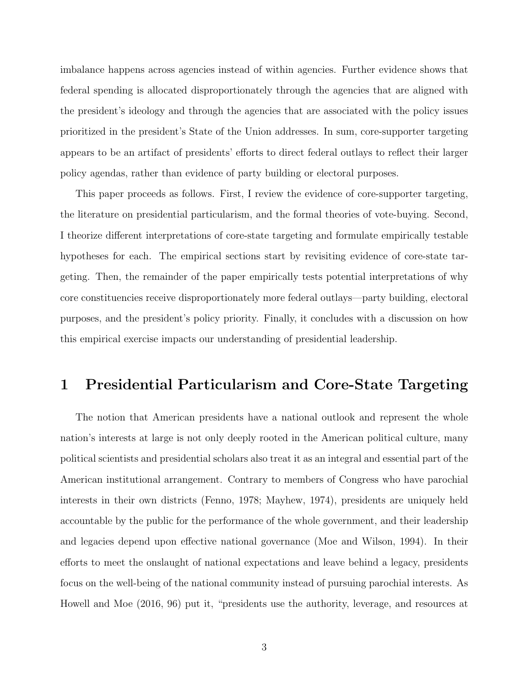imbalance happens across agencies instead of within agencies. Further evidence shows that federal spending is allocated disproportionately through the agencies that are aligned with the president's ideology and through the agencies that are associated with the policy issues prioritized in the president's State of the Union addresses. In sum, core-supporter targeting appears to be an artifact of presidents' efforts to direct federal outlays to reflect their larger policy agendas, rather than evidence of party building or electoral purposes.

This paper proceeds as follows. First, I review the evidence of core-supporter targeting, the literature on presidential particularism, and the formal theories of vote-buying. Second, I theorize different interpretations of core-state targeting and formulate empirically testable hypotheses for each. The empirical sections start by revisiting evidence of core-state targeting. Then, the remainder of the paper empirically tests potential interpretations of why core constituencies receive disproportionately more federal outlays—party building, electoral purposes, and the president's policy priority. Finally, it concludes with a discussion on how this empirical exercise impacts our understanding of presidential leadership.

# 1 Presidential Particularism and Core-State Targeting

The notion that American presidents have a national outlook and represent the whole nation's interests at large is not only deeply rooted in the American political culture, many political scientists and presidential scholars also treat it as an integral and essential part of the American institutional arrangement. Contrary to members of Congress who have parochial interests in their own districts [\(Fenno,](#page-34-4) [1978;](#page-34-4) [Mayhew,](#page-36-3) [1974\)](#page-36-3), presidents are uniquely held accountable by the public for the performance of the whole government, and their leadership and legacies depend upon effective national governance [\(Moe and Wilson,](#page-36-4) [1994\)](#page-36-4). In their efforts to meet the onslaught of national expectations and leave behind a legacy, presidents focus on the well-being of the national community instead of pursuing parochial interests. As [Howell and Moe](#page-35-2) [\(2016,](#page-35-2) 96) put it, "presidents use the authority, leverage, and resources at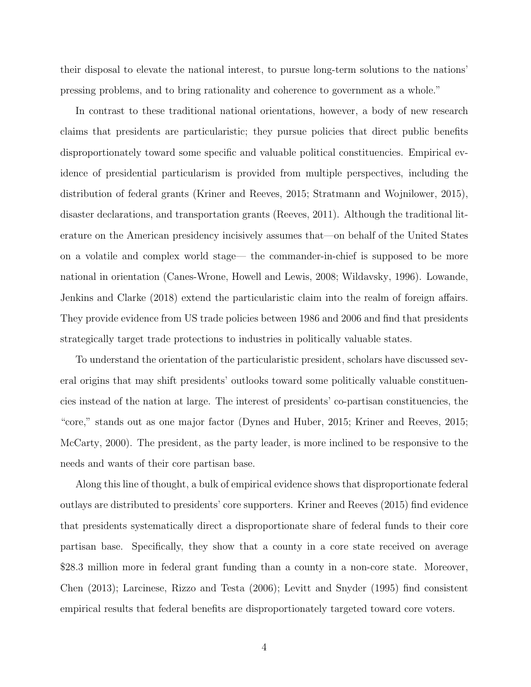their disposal to elevate the national interest, to pursue long-term solutions to the nations' pressing problems, and to bring rationality and coherence to government as a whole."

In contrast to these traditional national orientations, however, a body of new research claims that presidents are particularistic; they pursue policies that direct public benefits disproportionately toward some specific and valuable political constituencies. Empirical evidence of presidential particularism is provided from multiple perspectives, including the distribution of federal grants [\(Kriner and Reeves,](#page-35-0) [2015;](#page-35-0) [Stratmann and Wojnilower,](#page-37-1) [2015\)](#page-37-1), disaster declarations, and transportation grants [\(Reeves,](#page-37-2) [2011\)](#page-37-2). Although the traditional literature on the American presidency incisively assumes that—on behalf of the United States on a volatile and complex world stage— the commander-in-chief is supposed to be more national in orientation [\(Canes-Wrone, Howell and Lewis,](#page-33-3) [2008;](#page-33-3) [Wildavsky,](#page-37-3) [1996\)](#page-37-3). [Lowande,](#page-36-1) [Jenkins and Clarke](#page-36-1) [\(2018\)](#page-36-1) extend the particularistic claim into the realm of foreign affairs. They provide evidence from US trade policies between 1986 and 2006 and find that presidents strategically target trade protections to industries in politically valuable states.

To understand the orientation of the particularistic president, scholars have discussed several origins that may shift presidents' outlooks toward some politically valuable constituencies instead of the nation at large. The interest of presidents' co-partisan constituencies, the "core," stands out as one major factor [\(Dynes and Huber,](#page-34-0) [2015;](#page-34-0) [Kriner and Reeves,](#page-35-0) [2015;](#page-35-0) [McCarty,](#page-36-5) [2000\)](#page-36-5). The president, as the party leader, is more inclined to be responsive to the needs and wants of their core partisan base.

Along this line of thought, a bulk of empirical evidence shows that disproportionate federal outlays are distributed to presidents' core supporters. [Kriner and Reeves](#page-35-0) [\(2015\)](#page-35-0) find evidence that presidents systematically direct a disproportionate share of federal funds to their core partisan base. Specifically, they show that a county in a core state received on average \$28.3 million more in federal grant funding than a county in a non-core state. Moreover, [Chen](#page-33-4) [\(2013\)](#page-33-4); [Larcinese, Rizzo and Testa](#page-35-1) [\(2006\)](#page-35-1); [Levitt and Snyder](#page-36-0) [\(1995\)](#page-36-0) find consistent empirical results that federal benefits are disproportionately targeted toward core voters.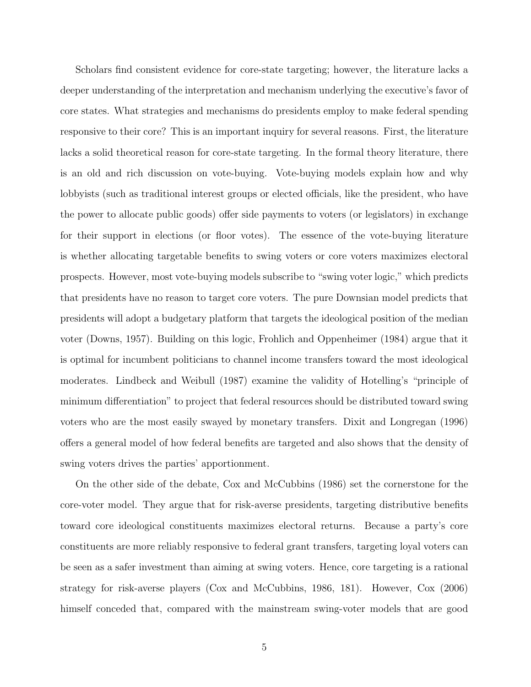Scholars find consistent evidence for core-state targeting; however, the literature lacks a deeper understanding of the interpretation and mechanism underlying the executive's favor of core states. What strategies and mechanisms do presidents employ to make federal spending responsive to their core? This is an important inquiry for several reasons. First, the literature lacks a solid theoretical reason for core-state targeting. In the formal theory literature, there is an old and rich discussion on vote-buying. Vote-buying models explain how and why lobbyists (such as traditional interest groups or elected officials, like the president, who have the power to allocate public goods) offer side payments to voters (or legislators) in exchange for their support in elections (or floor votes). The essence of the vote-buying literature is whether allocating targetable benefits to swing voters or core voters maximizes electoral prospects. However, most vote-buying models subscribe to "swing voter logic," which predicts that presidents have no reason to target core voters. The pure Downsian model predicts that presidents will adopt a budgetary platform that targets the ideological position of the median voter [\(Downs,](#page-34-5) [1957\)](#page-34-5). Building on this logic, [Frohlich and Oppenheimer](#page-34-6) [\(1984\)](#page-34-6) argue that it is optimal for incumbent politicians to channel income transfers toward the most ideological moderates. [Lindbeck and Weibull](#page-36-6) [\(1987\)](#page-36-6) examine the validity of Hotelling's "principle of minimum differentiation" to project that federal resources should be distributed toward swing voters who are the most easily swayed by monetary transfers. [Dixit and Longregan](#page-34-7) [\(1996\)](#page-34-7) offers a general model of how federal benefits are targeted and also shows that the density of swing voters drives the parties' apportionment.

On the other side of the debate, [Cox and McCubbins](#page-34-8) [\(1986\)](#page-34-8) set the cornerstone for the core-voter model. They argue that for risk-averse presidents, targeting distributive benefits toward core ideological constituents maximizes electoral returns. Because a party's core constituents are more reliably responsive to federal grant transfers, targeting loyal voters can be seen as a safer investment than aiming at swing voters. Hence, core targeting is a rational strategy for risk-averse players [\(Cox and McCubbins,](#page-34-8) [1986,](#page-34-8) 181). However, [Cox](#page-34-9) [\(2006\)](#page-34-9) himself conceded that, compared with the mainstream swing-voter models that are good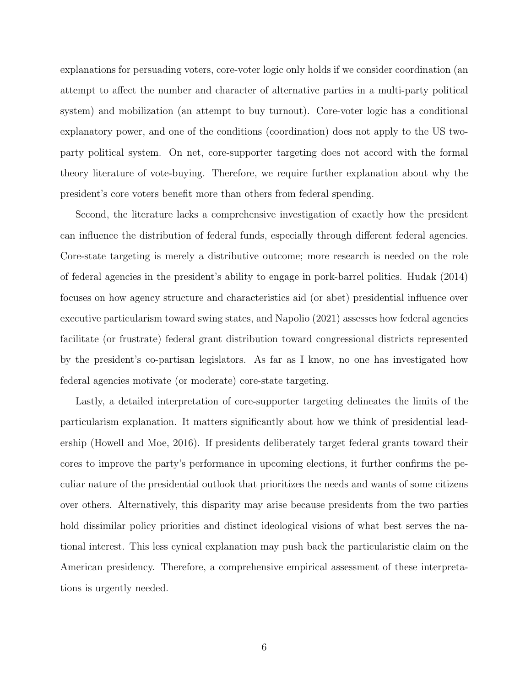explanations for persuading voters, core-voter logic only holds if we consider coordination (an attempt to affect the number and character of alternative parties in a multi-party political system) and mobilization (an attempt to buy turnout). Core-voter logic has a conditional explanatory power, and one of the conditions (coordination) does not apply to the US twoparty political system. On net, core-supporter targeting does not accord with the formal theory literature of vote-buying. Therefore, we require further explanation about why the president's core voters benefit more than others from federal spending.

Second, the literature lacks a comprehensive investigation of exactly how the president can influence the distribution of federal funds, especially through different federal agencies. Core-state targeting is merely a distributive outcome; more research is needed on the role of federal agencies in the president's ability to engage in pork-barrel politics. [Hudak](#page-35-6) [\(2014\)](#page-35-6) focuses on how agency structure and characteristics aid (or abet) presidential influence over executive particularism toward swing states, and [Napolio](#page-36-2) [\(2021\)](#page-36-2) assesses how federal agencies facilitate (or frustrate) federal grant distribution toward congressional districts represented by the president's co-partisan legislators. As far as I know, no one has investigated how federal agencies motivate (or moderate) core-state targeting.

Lastly, a detailed interpretation of core-supporter targeting delineates the limits of the particularism explanation. It matters significantly about how we think of presidential leadership [\(Howell and Moe,](#page-35-2) [2016\)](#page-35-2). If presidents deliberately target federal grants toward their cores to improve the party's performance in upcoming elections, it further confirms the peculiar nature of the presidential outlook that prioritizes the needs and wants of some citizens over others. Alternatively, this disparity may arise because presidents from the two parties hold dissimilar policy priorities and distinct ideological visions of what best serves the national interest. This less cynical explanation may push back the particularistic claim on the American presidency. Therefore, a comprehensive empirical assessment of these interpretations is urgently needed.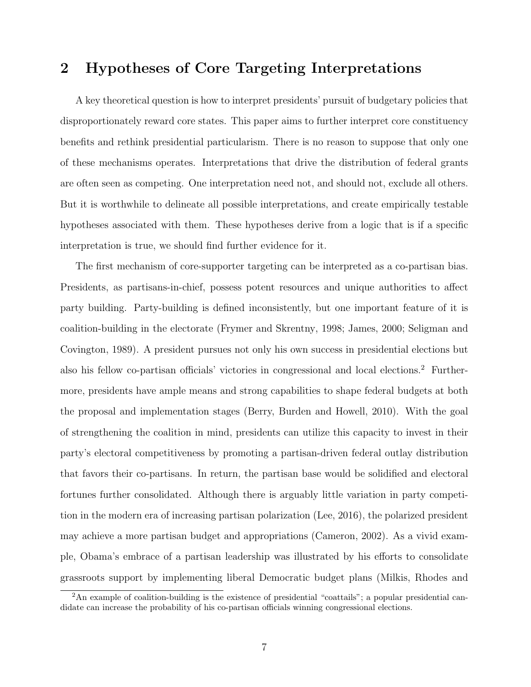## 2 Hypotheses of Core Targeting Interpretations

A key theoretical question is how to interpret presidents' pursuit of budgetary policies that disproportionately reward core states. This paper aims to further interpret core constituency benefits and rethink presidential particularism. There is no reason to suppose that only one of these mechanisms operates. Interpretations that drive the distribution of federal grants are often seen as competing. One interpretation need not, and should not, exclude all others. But it is worthwhile to delineate all possible interpretations, and create empirically testable hypotheses associated with them. These hypotheses derive from a logic that is if a specific interpretation is true, we should find further evidence for it.

The first mechanism of core-supporter targeting can be interpreted as a co-partisan bias. Presidents, as partisans-in-chief, possess potent resources and unique authorities to affect party building. Party-building is defined inconsistently, but one important feature of it is coalition-building in the electorate [\(Frymer and Skrentny,](#page-34-10) [1998;](#page-34-10) [James,](#page-35-7) [2000;](#page-35-7) [Seligman and](#page-37-4) [Covington,](#page-37-4) [1989\)](#page-37-4). A president pursues not only his own success in presidential elections but also his fellow co-partisan officials' victories in congressional and local elections.[2](#page-7-0) Furthermore, presidents have ample means and strong capabilities to shape federal budgets at both the proposal and implementation stages [\(Berry, Burden and Howell,](#page-33-0) [2010\)](#page-33-0). With the goal of strengthening the coalition in mind, presidents can utilize this capacity to invest in their party's electoral competitiveness by promoting a partisan-driven federal outlay distribution that favors their co-partisans. In return, the partisan base would be solidified and electoral fortunes further consolidated. Although there is arguably little variation in party competition in the modern era of increasing partisan polarization [\(Lee,](#page-36-7) [2016\)](#page-36-7), the polarized president may achieve a more partisan budget and appropriations [\(Cameron,](#page-33-5) [2002\)](#page-33-5). As a vivid example, Obama's embrace of a partisan leadership was illustrated by his efforts to consolidate grassroots support by implementing liberal Democratic budget plans [\(Milkis, Rhodes and](#page-36-8)

<span id="page-7-0"></span><sup>&</sup>lt;sup>2</sup>[An example of coalition-building is the existence of presidential "coattails"; a popular presidential can](#page-36-8)[didate can increase the probability of his co-partisan officials winning congressional elections.](#page-36-8)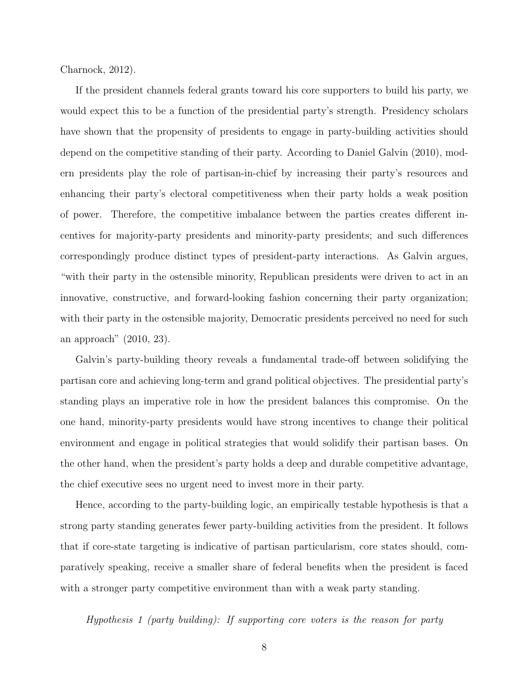[Charnock,](#page-36-8) [2012\)](#page-36-8).

If the president channels federal grants toward his core supporters to build his party, we would expect this to be a function of the presidential party's strength. Presidency scholars have shown that the propensity of presidents to engage in party-building activities should depend on the competitive standing of their party. According to Daniel [Galvin](#page-34-3) [\(2010\)](#page-34-3), modern presidents play the role of partisan-in-chief by increasing their party's resources and enhancing their party's electoral competitiveness when their party holds a weak position of power. Therefore, the competitive imbalance between the parties creates different incentives for majority-party presidents and minority-party presidents; and such differences correspondingly produce distinct types of president-party interactions. As Galvin argues, "with their party in the ostensible minority, Republican presidents were driven to act in an innovative, constructive, and forward-looking fashion concerning their party organization; with their party in the ostensible majority, Democratic presidents perceived no need for such an approach" [\(2010,](#page-34-3) 23).

Galvin's party-building theory reveals a fundamental trade-off between solidifying the partisan core and achieving long-term and grand political objectives. The presidential party's standing plays an imperative role in how the president balances this compromise. On the one hand, minority-party presidents would have strong incentives to change their political environment and engage in political strategies that would solidify their partisan bases. On the other hand, when the president's party holds a deep and durable competitive advantage, the chief executive sees no urgent need to invest more in their party.

Hence, according to the party-building logic, an empirically testable hypothesis is that a strong party standing generates fewer party-building activities from the president. It follows that if core-state targeting is indicative of partisan particularism, core states should, comparatively speaking, receive a smaller share of federal benefits when the president is faced with a stronger party competitive environment than with a weak party standing.

Hypothesis 1 (party building): If supporting core voters is the reason for party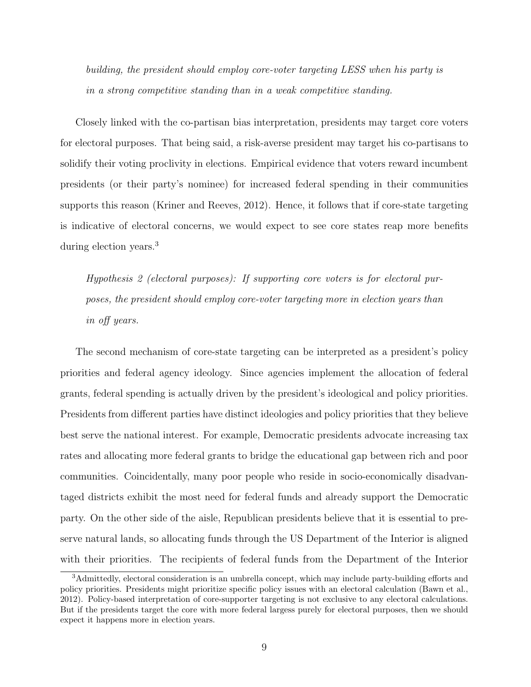building, the president should employ core-voter targeting LESS when his party is in a strong competitive standing than in a weak competitive standing.

Closely linked with the co-partisan bias interpretation, presidents may target core voters for electoral purposes. That being said, a risk-averse president may target his co-partisans to solidify their voting proclivity in elections. Empirical evidence that voters reward incumbent presidents (or their party's nominee) for increased federal spending in their communities supports this reason [\(Kriner and Reeves,](#page-35-8) [2012\)](#page-35-8). Hence, it follows that if core-state targeting is indicative of electoral concerns, we would expect to see core states reap more benefits during election years.[3](#page-9-0)

Hypothesis 2 (electoral purposes): If supporting core voters is for electoral purposes, the president should employ core-voter targeting more in election years than in off years.

The second mechanism of core-state targeting can be interpreted as a president's policy priorities and federal agency ideology. Since agencies implement the allocation of federal grants, federal spending is actually driven by the president's ideological and policy priorities. Presidents from different parties have distinct ideologies and policy priorities that they believe best serve the national interest. For example, Democratic presidents advocate increasing tax rates and allocating more federal grants to bridge the educational gap between rich and poor communities. Coincidentally, many poor people who reside in socio-economically disadvantaged districts exhibit the most need for federal funds and already support the Democratic party. On the other side of the aisle, Republican presidents believe that it is essential to preserve natural lands, so allocating funds through the US Department of the Interior is aligned with their priorities. The recipients of federal funds from the Department of the Interior

<span id="page-9-0"></span><sup>3</sup>Admittedly, electoral consideration is an umbrella concept, which may include party-building efforts and policy priorities. Presidents might prioritize specific policy issues with an electoral calculation [\(Bawn et al.,](#page-33-6) [2012\)](#page-33-6). Policy-based interpretation of core-supporter targeting is not exclusive to any electoral calculations. But if the presidents target the core with more federal largess purely for electoral purposes, then we should expect it happens more in election years.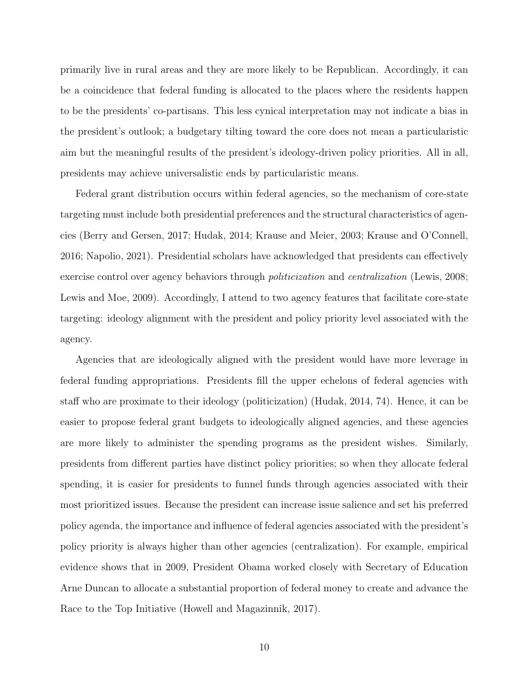primarily live in rural areas and they are more likely to be Republican. Accordingly, it can be a coincidence that federal funding is allocated to the places where the residents happen to be the presidents' co-partisans. This less cynical interpretation may not indicate a bias in the president's outlook; a budgetary tilting toward the core does not mean a particularistic aim but the meaningful results of the president's ideology-driven policy priorities. All in all, presidents may achieve universalistic ends by particularistic means.

Federal grant distribution occurs within federal agencies, so the mechanism of core-state targeting must include both presidential preferences and the structural characteristics of agencies [\(Berry and Gersen,](#page-33-2) [2017;](#page-33-2) [Hudak,](#page-35-6) [2014;](#page-35-6) [Krause and Meier,](#page-35-4) [2003;](#page-35-4) [Krause and O'Connell,](#page-35-5) [2016;](#page-35-5) [Napolio,](#page-36-2) [2021\)](#page-36-2). Presidential scholars have acknowledged that presidents can effectively exercise control over agency behaviors through *politicization* and *centralization* [\(Lewis,](#page-36-9) [2008;](#page-36-9) [Lewis and Moe,](#page-36-10) [2009\)](#page-36-10). Accordingly, I attend to two agency features that facilitate core-state targeting: ideology alignment with the president and policy priority level associated with the agency.

Agencies that are ideologically aligned with the president would have more leverage in federal funding appropriations. Presidents fill the upper echelons of federal agencies with staff who are proximate to their ideology (politicization) [\(Hudak,](#page-35-6) [2014,](#page-35-6) 74). Hence, it can be easier to propose federal grant budgets to ideologically aligned agencies, and these agencies are more likely to administer the spending programs as the president wishes. Similarly, presidents from different parties have distinct policy priorities; so when they allocate federal spending, it is easier for presidents to funnel funds through agencies associated with their most prioritized issues. Because the president can increase issue salience and set his preferred policy agenda, the importance and influence of federal agencies associated with the president's policy priority is always higher than other agencies (centralization). For example, empirical evidence shows that in 2009, President Obama worked closely with Secretary of Education Arne Duncan to allocate a substantial proportion of federal money to create and advance the Race to the Top Initiative [\(Howell and Magazinnik,](#page-35-9) [2017\)](#page-35-9).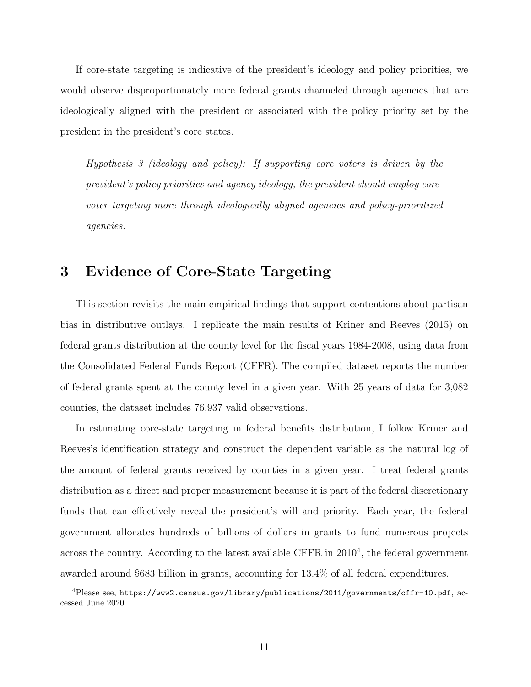If core-state targeting is indicative of the president's ideology and policy priorities, we would observe disproportionately more federal grants channeled through agencies that are ideologically aligned with the president or associated with the policy priority set by the president in the president's core states.

Hypothesis 3 (ideology and policy): If supporting core voters is driven by the president's policy priorities and agency ideology, the president should employ corevoter targeting more through ideologically aligned agencies and policy-prioritized agencies.

### 3 Evidence of Core-State Targeting

This section revisits the main empirical findings that support contentions about partisan bias in distributive outlays. I replicate the main results of [Kriner and Reeves](#page-35-0) [\(2015\)](#page-35-0) on federal grants distribution at the county level for the fiscal years 1984-2008, using data from the Consolidated Federal Funds Report (CFFR). The compiled dataset reports the number of federal grants spent at the county level in a given year. With 25 years of data for 3,082 counties, the dataset includes 76,937 valid observations.

In estimating core-state targeting in federal benefits distribution, I follow Kriner and Reeves's identification strategy and construct the dependent variable as the natural log of the amount of federal grants received by counties in a given year. I treat federal grants distribution as a direct and proper measurement because it is part of the federal discretionary funds that can effectively reveal the president's will and priority. Each year, the federal government allocates hundreds of billions of dollars in grants to fund numerous projects across the country. According to the latest available CFFR in  $2010<sup>4</sup>$  $2010<sup>4</sup>$  $2010<sup>4</sup>$ , the federal government awarded around \$683 billion in grants, accounting for 13.4% of all federal expenditures.

<span id="page-11-0"></span><sup>4</sup>Please see, <https://www2.census.gov/library/publications/2011/governments/cffr-10.pdf>, accessed June 2020.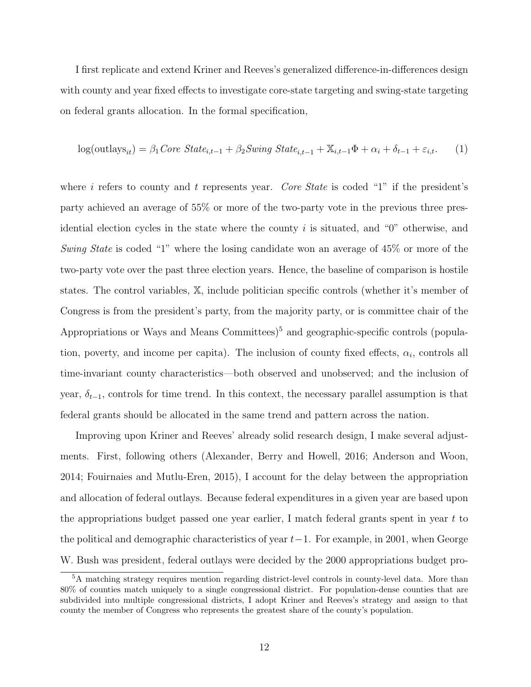I first replicate and extend Kriner and Reeves's generalized difference-in-differences design with county and year fixed effects to investigate core-state targeting and swing-state targeting on federal grants allocation. In the formal specification,

$$
log(outays_{it}) = \beta_1 Core State_{i,t-1} + \beta_2 Swing State_{i,t-1} + \mathbb{X}_{i,t-1} \Phi + \alpha_i + \delta_{t-1} + \varepsilon_{i,t}.
$$
 (1)

where i refers to county and t represents year. Core State is coded "1" if the president's party achieved an average of 55% or more of the two-party vote in the previous three presidential election cycles in the state where the county  $i$  is situated, and "0" otherwise, and Swing State is coded "1" where the losing candidate won an average of 45\% or more of the two-party vote over the past three election years. Hence, the baseline of comparison is hostile states. The control variables, X, include politician specific controls (whether it's member of Congress is from the president's party, from the majority party, or is committee chair of the Appropriations or Ways and Means Committees)<sup>[5](#page-12-0)</sup> and geographic-specific controls (population, poverty, and income per capita). The inclusion of county fixed effects,  $\alpha_i$ , controls all time-invariant county characteristics—both observed and unobserved; and the inclusion of year,  $\delta_{t-1}$ , controls for time trend. In this context, the necessary parallel assumption is that federal grants should be allocated in the same trend and pattern across the nation.

Improving upon Kriner and Reeves' already solid research design, I make several adjustments. First, following others [\(Alexander, Berry and Howell,](#page-33-7) [2016;](#page-33-7) [Anderson and Woon,](#page-33-8) [2014;](#page-33-8) [Fouirnaies and Mutlu-Eren,](#page-34-11) [2015\)](#page-34-11), I account for the delay between the appropriation and allocation of federal outlays. Because federal expenditures in a given year are based upon the appropriations budget passed one year earlier, I match federal grants spent in year  $t$  to the political and demographic characteristics of year  $t-1$ . For example, in 2001, when George W. Bush was president, federal outlays were decided by the 2000 appropriations budget pro-

<span id="page-12-0"></span><sup>5</sup>A matching strategy requires mention regarding district-level controls in county-level data. More than 80% of counties match uniquely to a single congressional district. For population-dense counties that are subdivided into multiple congressional districts, I adopt Kriner and Reeves's strategy and assign to that county the member of Congress who represents the greatest share of the county's population.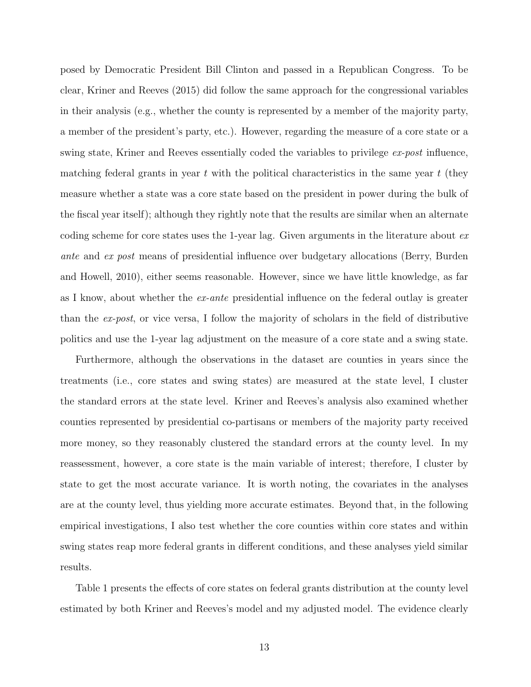posed by Democratic President Bill Clinton and passed in a Republican Congress. To be clear, [Kriner and Reeves](#page-35-0) [\(2015\)](#page-35-0) did follow the same approach for the congressional variables in their analysis (e.g., whether the county is represented by a member of the majority party, a member of the president's party, etc.). However, regarding the measure of a core state or a swing state, Kriner and Reeves essentially coded the variables to privilege ex-post influence, matching federal grants in year t with the political characteristics in the same year  $t$  (they measure whether a state was a core state based on the president in power during the bulk of the fiscal year itself); although they rightly note that the results are similar when an alternate coding scheme for core states uses the 1-year lag. Given arguments in the literature about  $ex$ ante and ex post means of presidential influence over budgetary allocations [\(Berry, Burden](#page-33-0) [and Howell,](#page-33-0) [2010\)](#page-33-0), either seems reasonable. However, since we have little knowledge, as far as I know, about whether the ex-ante presidential influence on the federal outlay is greater than the ex-post, or vice versa, I follow the majority of scholars in the field of distributive politics and use the 1-year lag adjustment on the measure of a core state and a swing state.

Furthermore, although the observations in the dataset are counties in years since the treatments (i.e., core states and swing states) are measured at the state level, I cluster the standard errors at the state level. Kriner and Reeves's analysis also examined whether counties represented by presidential co-partisans or members of the majority party received more money, so they reasonably clustered the standard errors at the county level. In my reassessment, however, a core state is the main variable of interest; therefore, I cluster by state to get the most accurate variance. It is worth noting, the covariates in the analyses are at the county level, thus yielding more accurate estimates. Beyond that, in the following empirical investigations, I also test whether the core counties within core states and within swing states reap more federal grants in different conditions, and these analyses yield similar results.

Table 1 presents the effects of core states on federal grants distribution at the county level estimated by both Kriner and Reeves's model and my adjusted model. The evidence clearly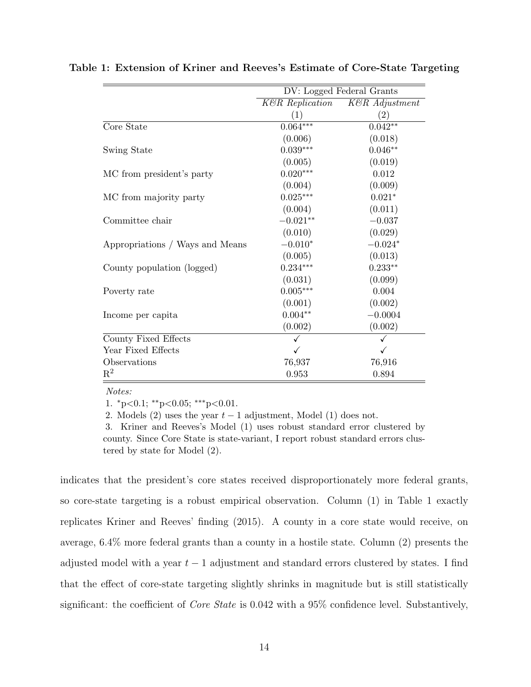|                                 | DV: Logged Federal Grants   |                   |  |
|---------------------------------|-----------------------------|-------------------|--|
|                                 | $K\mathcal{B}R$ Replication | K&R Adjustment    |  |
|                                 | (1)                         | $\left( 2\right)$ |  |
| Core State                      | $0.064***$                  | $0.042**$         |  |
|                                 | (0.006)                     | (0.018)           |  |
| Swing State                     | $0.039***$                  | $0.046**$         |  |
|                                 | (0.005)                     | (0.019)           |  |
| MC from president's party       | $0.020***$                  | 0.012             |  |
|                                 | (0.004)                     | (0.009)           |  |
| MC from majority party          | $0.025***$                  | $0.021*$          |  |
|                                 | (0.004)                     | (0.011)           |  |
| Committee chair                 | $-0.021**$                  | $-0.037$          |  |
|                                 | (0.010)                     | (0.029)           |  |
| Appropriations / Ways and Means | $-0.010*$                   | $-0.024*$         |  |
|                                 | (0.005)                     | (0.013)           |  |
| County population (logged)      | $0.234***$                  | $0.233**$         |  |
|                                 | (0.031)                     | (0.099)           |  |
| Poverty rate                    | $0.005***$                  | 0.004             |  |
|                                 | (0.001)                     | (0.002)           |  |
| Income per capita               | $0.004**$                   | $-0.0004$         |  |
|                                 | (0.002)                     | (0.002)           |  |
| County Fixed Effects            |                             |                   |  |
| Year Fixed Effects              |                             |                   |  |
| Observations                    | 76,937                      | 76,916            |  |
| $\mathrm{R}^2$                  | 0.953                       | 0.894             |  |

Table 1: Extension of Kriner and Reeves's Estimate of Core-State Targeting

Notes:

1. <sup>∗</sup>p<0.1; ∗∗p<0.05; ∗∗∗p<0.01.

2. Models (2) uses the year  $t-1$  adjustment, Model (1) does not.

3. Kriner and Reeves's Model (1) uses robust standard error clustered by county. Since Core State is state-variant, I report robust standard errors clustered by state for Model (2).

indicates that the president's core states received disproportionately more federal grants, so core-state targeting is a robust empirical observation. Column (1) in Table 1 exactly replicates Kriner and Reeves' finding [\(2015\)](#page-35-0). A county in a core state would receive, on average, 6.4% more federal grants than a county in a hostile state. Column (2) presents the adjusted model with a year  $t-1$  adjustment and standard errors clustered by states. I find that the effect of core-state targeting slightly shrinks in magnitude but is still statistically significant: the coefficient of *Core State* is 0.042 with a 95% confidence level. Substantively,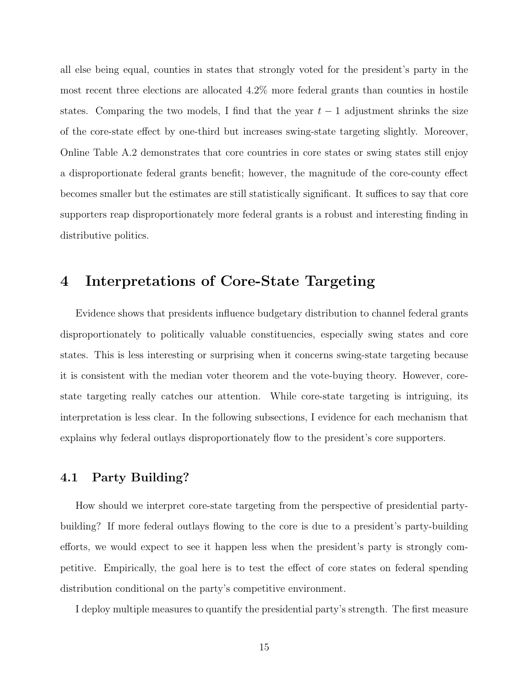all else being equal, counties in states that strongly voted for the president's party in the most recent three elections are allocated 4.2% more federal grants than counties in hostile states. Comparing the two models, I find that the year  $t-1$  adjustment shrinks the size of the core-state effect by one-third but increases swing-state targeting slightly. Moreover, Online Table [A.2](#page-40-0) demonstrates that core countries in core states or swing states still enjoy a disproportionate federal grants benefit; however, the magnitude of the core-county effect becomes smaller but the estimates are still statistically significant. It suffices to say that core supporters reap disproportionately more federal grants is a robust and interesting finding in distributive politics.

### 4 Interpretations of Core-State Targeting

Evidence shows that presidents influence budgetary distribution to channel federal grants disproportionately to politically valuable constituencies, especially swing states and core states. This is less interesting or surprising when it concerns swing-state targeting because it is consistent with the median voter theorem and the vote-buying theory. However, corestate targeting really catches our attention. While core-state targeting is intriguing, its interpretation is less clear. In the following subsections, I evidence for each mechanism that explains why federal outlays disproportionately flow to the president's core supporters.

#### 4.1 Party Building?

How should we interpret core-state targeting from the perspective of presidential partybuilding? If more federal outlays flowing to the core is due to a president's party-building efforts, we would expect to see it happen less when the president's party is strongly competitive. Empirically, the goal here is to test the effect of core states on federal spending distribution conditional on the party's competitive environment.

I deploy multiple measures to quantify the presidential party's strength. The first measure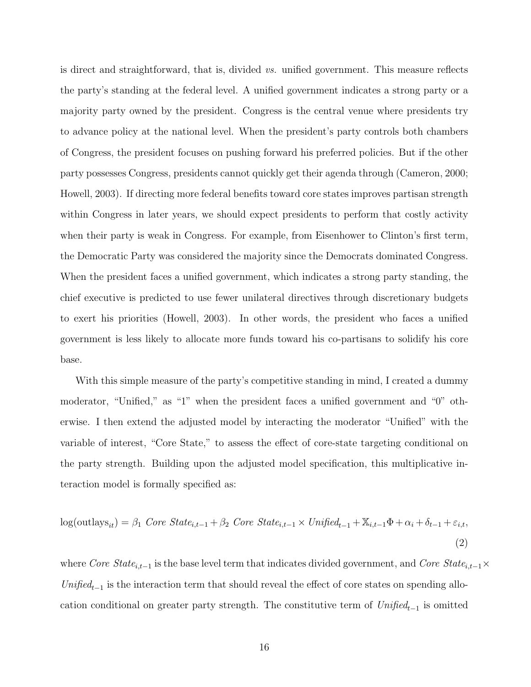is direct and straightforward, that is, divided vs. unified government. This measure reflects the party's standing at the federal level. A unified government indicates a strong party or a majority party owned by the president. Congress is the central venue where presidents try to advance policy at the national level. When the president's party controls both chambers of Congress, the president focuses on pushing forward his preferred policies. But if the other party possesses Congress, presidents cannot quickly get their agenda through [\(Cameron,](#page-33-9) [2000;](#page-33-9) [Howell,](#page-35-10) [2003\)](#page-35-10). If directing more federal benefits toward core states improves partisan strength within Congress in later years, we should expect presidents to perform that costly activity when their party is weak in Congress. For example, from Eisenhower to Clinton's first term, the Democratic Party was considered the majority since the Democrats dominated Congress. When the president faces a unified government, which indicates a strong party standing, the chief executive is predicted to use fewer unilateral directives through discretionary budgets to exert his priorities [\(Howell,](#page-35-10) [2003\)](#page-35-10). In other words, the president who faces a unified government is less likely to allocate more funds toward his co-partisans to solidify his core base.

With this simple measure of the party's competitive standing in mind, I created a dummy moderator, "Unified," as "1" when the president faces a unified government and "0" otherwise. I then extend the adjusted model by interacting the moderator "Unified" with the variable of interest, "Core State," to assess the effect of core-state targeting conditional on the party strength. Building upon the adjusted model specification, this multiplicative interaction model is formally specified as:

$$
log(outlass_{it}) = \beta_1 \text{ Core State}_{i,t-1} + \beta_2 \text{ Core State}_{i,t-1} \times \text{Unified}_{t-1} + \mathbb{X}_{i,t-1} \Phi + \alpha_i + \delta_{t-1} + \varepsilon_{i,t},
$$
\n
$$
(2)
$$

where Core  $State_{i,t-1}$  is the base level term that indicates divided government, and Core  $State_{i,t-1} \times$  $Unified_{t-1}$  is the interaction term that should reveal the effect of core states on spending allocation conditional on greater party strength. The constitutive term of  $Unified_{t-1}$  is omitted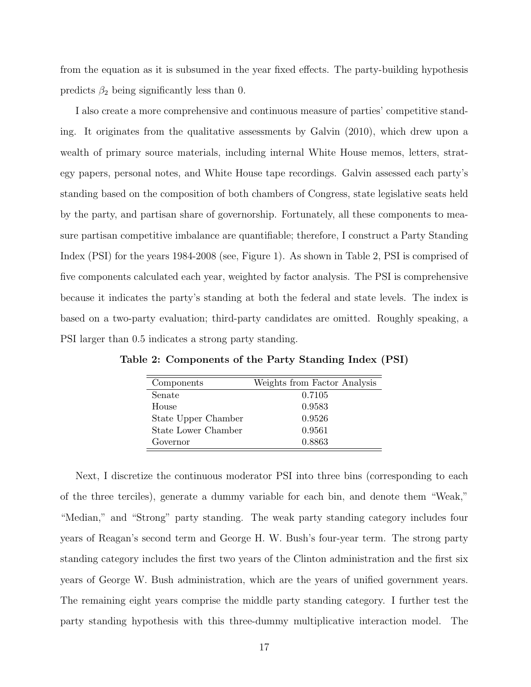from the equation as it is subsumed in the year fixed effects. The party-building hypothesis predicts  $\beta_2$  being significantly less than 0.

I also create a more comprehensive and continuous measure of parties' competitive standing. It originates from the qualitative assessments by [Galvin](#page-34-3) [\(2010\)](#page-34-3), which drew upon a wealth of primary source materials, including internal White House memos, letters, strategy papers, personal notes, and White House tape recordings. Galvin assessed each party's standing based on the composition of both chambers of Congress, state legislative seats held by the party, and partisan share of governorship. Fortunately, all these components to measure partisan competitive imbalance are quantifiable; therefore, I construct a Party Standing Index (PSI) for the years 1984-2008 (see, Figure [1\)](#page-18-0). As shown in Table [2,](#page-17-0) PSI is comprised of five components calculated each year, weighted by factor analysis. The PSI is comprehensive because it indicates the party's standing at both the federal and state levels. The index is based on a two-party evaluation; third-party candidates are omitted. Roughly speaking, a PSI larger than 0.5 indicates a strong party standing.

| Components          | Weights from Factor Analysis |
|---------------------|------------------------------|
| Senate              | 0.7105                       |
| House               | 0.9583                       |
| State Upper Chamber | 0.9526                       |
| State Lower Chamber | 0.9561                       |
| Governor            | 0.8863                       |

<span id="page-17-0"></span>Table 2: Components of the Party Standing Index (PSI)

Next, I discretize the continuous moderator PSI into three bins (corresponding to each of the three terciles), generate a dummy variable for each bin, and denote them "Weak," "Median," and "Strong" party standing. The weak party standing category includes four years of Reagan's second term and George H. W. Bush's four-year term. The strong party standing category includes the first two years of the Clinton administration and the first six years of George W. Bush administration, which are the years of unified government years. The remaining eight years comprise the middle party standing category. I further test the party standing hypothesis with this three-dummy multiplicative interaction model. The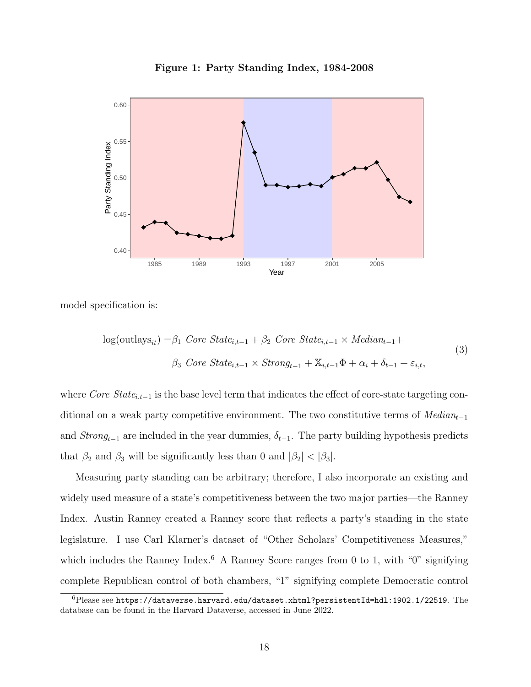Figure 1: Party Standing Index, 1984-2008

<span id="page-18-0"></span>

model specification is:

$$
log(outlass_{it}) = \beta_1 \text{ Core State}_{i,t-1} + \beta_2 \text{ Core State}_{i,t-1} \times \text{Median}_{t-1} +
$$
  

$$
\beta_3 \text{ Core State}_{i,t-1} \times \text{Strong}_{t-1} + \mathbb{X}_{i,t-1} \Phi + \alpha_i + \delta_{t-1} + \varepsilon_{i,t},
$$

$$
(3)
$$

where Core State<sub>i,t−1</sub> is the base level term that indicates the effect of core-state targeting conditional on a weak party competitive environment. The two constitutive terms of  $Median_{t-1}$ and  $Strong_{t-1}$  are included in the year dummies,  $\delta_{t-1}$ . The party building hypothesis predicts that  $\beta_2$  and  $\beta_3$  will be significantly less than 0 and  $|\beta_2| < |\beta_3|$ .

Measuring party standing can be arbitrary; therefore, I also incorporate an existing and widely used measure of a state's competitiveness between the two major parties—the Ranney Index. Austin Ranney created a Ranney score that reflects a party's standing in the state legislature. I use Carl Klarner's dataset of "Other Scholars' Competitiveness Measures," which includes the Ranney Index.<sup>[6](#page-18-1)</sup> A Ranney Score ranges from 0 to 1, with " $0$ " signifying complete Republican control of both chambers, "1" signifying complete Democratic control

<span id="page-18-1"></span> $6P$ lease see <https://dataverse.harvard.edu/dataset.xhtml?persistentId=hdl:1902.1/22519>. The database can be found in the Harvard Dataverse, accessed in June 2022.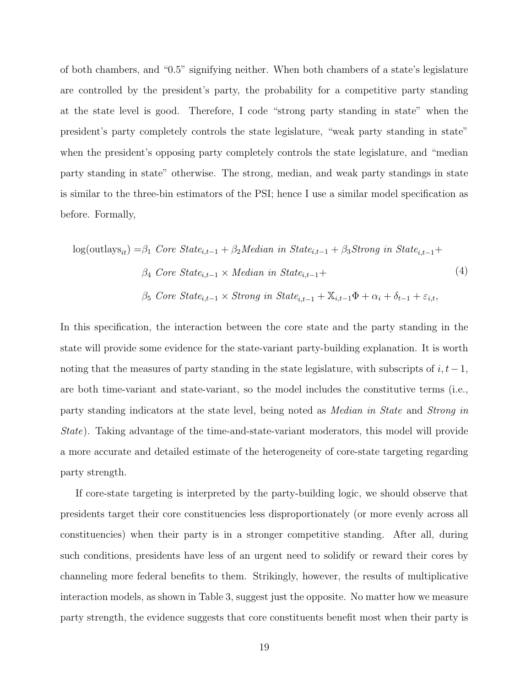of both chambers, and "0.5" signifying neither. When both chambers of a state's legislature are controlled by the president's party, the probability for a competitive party standing at the state level is good. Therefore, I code "strong party standing in state" when the president's party completely controls the state legislature, "weak party standing in state" when the president's opposing party completely controls the state legislature, and "median party standing in state" otherwise. The strong, median, and weak party standings in state is similar to the three-bin estimators of the PSI; hence I use a similar model specification as before. Formally,

$$
log(outlass_{it}) = \beta_1 \text{ Core State}_{i,t-1} + \beta_2 \text{Median in State}_{i,t-1} + \beta_3 \text{Strong in State}_{i,t-1} + \beta_4 \text{ Core State}_{i,t-1} \times \text{Median in State}_{i,t-1} + \beta_5 \text{Core State}_{i,t-1} \times \text{Strong in State}_{i,t-1} + \mathbb{X}_{i,t-1} \Phi + \alpha_i + \delta_{t-1} + \varepsilon_{i,t},
$$
\n
$$
(4)
$$

In this specification, the interaction between the core state and the party standing in the state will provide some evidence for the state-variant party-building explanation. It is worth noting that the measures of party standing in the state legislature, with subscripts of  $i, t-1$ , are both time-variant and state-variant, so the model includes the constitutive terms (i.e., party standing indicators at the state level, being noted as Median in State and Strong in State). Taking advantage of the time-and-state-variant moderators, this model will provide a more accurate and detailed estimate of the heterogeneity of core-state targeting regarding party strength.

If core-state targeting is interpreted by the party-building logic, we should observe that presidents target their core constituencies less disproportionately (or more evenly across all constituencies) when their party is in a stronger competitive standing. After all, during such conditions, presidents have less of an urgent need to solidify or reward their cores by channeling more federal benefits to them. Strikingly, however, the results of multiplicative interaction models, as shown in Table 3, suggest just the opposite. No matter how we measure party strength, the evidence suggests that core constituents benefit most when their party is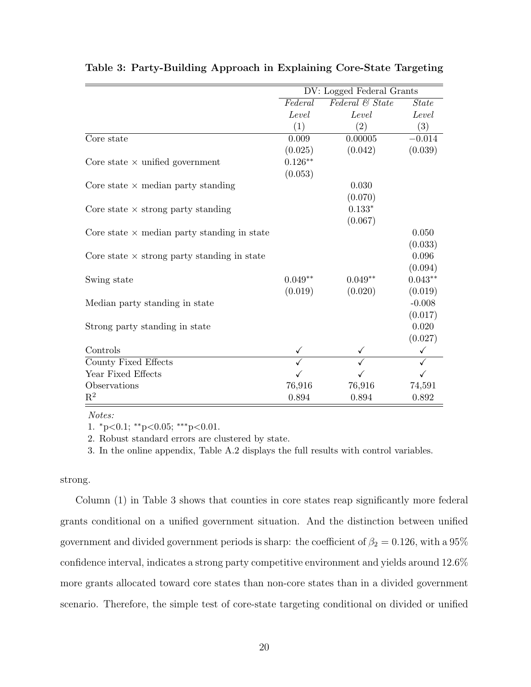|                                                    |           | DV: Logged Federal Grants |              |
|----------------------------------------------------|-----------|---------------------------|--------------|
|                                                    | Federal   | Federal & State           | <b>State</b> |
|                                                    | Level     | Level                     | Level        |
|                                                    | (1)       | $\left( 2\right)$         | (3)          |
| Core state                                         | 0.009     | 0.00005                   | $-0.014$     |
|                                                    | (0.025)   | (0.042)                   | (0.039)      |
| Core state $\times$ unified government             | $0.126**$ |                           |              |
|                                                    | (0.053)   |                           |              |
| Core state $\times$ median party standing          |           | 0.030                     |              |
|                                                    |           | (0.070)                   |              |
| Core state $\times$ strong party standing          |           | $0.133*$                  |              |
|                                                    |           | (0.067)                   |              |
| Core state $\times$ median party standing in state |           |                           | 0.050        |
|                                                    |           |                           | (0.033)      |
| Core state $\times$ strong party standing in state |           |                           | 0.096        |
|                                                    |           |                           | (0.094)      |
| Swing state                                        | $0.049**$ | $0.049**$                 | $0.043**$    |
|                                                    | (0.019)   | (0.020)                   | (0.019)      |
| Median party standing in state                     |           |                           | $-0.008$     |
|                                                    |           |                           | (0.017)      |
| Strong party standing in state                     |           |                           | 0.020        |
|                                                    |           |                           | (0.027)      |
| Controls                                           |           |                           |              |
| County Fixed Effects                               |           |                           |              |
| Year Fixed Effects                                 |           |                           |              |
| Observations                                       | 76,916    | 76,916                    | 74,591       |
| $\mathbf{R}^2$                                     | 0.894     | 0.894                     | $0.892\,$    |

Table 3: Party-Building Approach in Explaining Core-State Targeting

Notes:

1.  ${}^*p<0.1$ ;  ${}^*p<0.05$ ;  ${}^*{}^*p<0.01$ .

2. Robust standard errors are clustered by state.

3. In the online appendix, Table A.2 displays the full results with control variables.

strong.

Column (1) in Table 3 shows that counties in core states reap significantly more federal grants conditional on a unified government situation. And the distinction between unified government and divided government periods is sharp: the coefficient of  $\beta_2 = 0.126$ , with a 95% confidence interval, indicates a strong party competitive environment and yields around 12.6% more grants allocated toward core states than non-core states than in a divided government scenario. Therefore, the simple test of core-state targeting conditional on divided or unified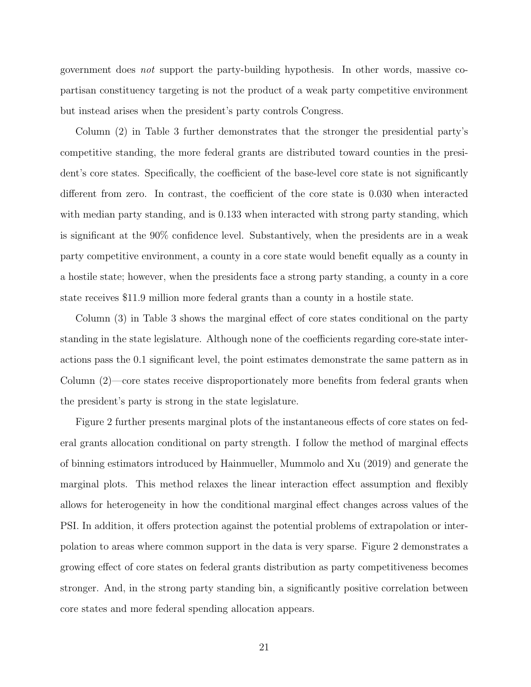government does not support the party-building hypothesis. In other words, massive copartisan constituency targeting is not the product of a weak party competitive environment but instead arises when the president's party controls Congress.

Column (2) in Table 3 further demonstrates that the stronger the presidential party's competitive standing, the more federal grants are distributed toward counties in the president's core states. Specifically, the coefficient of the base-level core state is not significantly different from zero. In contrast, the coefficient of the core state is 0.030 when interacted with median party standing, and is 0.133 when interacted with strong party standing, which is significant at the 90% confidence level. Substantively, when the presidents are in a weak party competitive environment, a county in a core state would benefit equally as a county in a hostile state; however, when the presidents face a strong party standing, a county in a core state receives \$11.9 million more federal grants than a county in a hostile state.

Column (3) in Table 3 shows the marginal effect of core states conditional on the party standing in the state legislature. Although none of the coefficients regarding core-state interactions pass the 0.1 significant level, the point estimates demonstrate the same pattern as in Column (2)—core states receive disproportionately more benefits from federal grants when the president's party is strong in the state legislature.

Figure [2](#page-22-0) further presents marginal plots of the instantaneous effects of core states on federal grants allocation conditional on party strength. I follow the method of marginal effects of binning estimators introduced by [Hainmueller, Mummolo and Xu](#page-35-11) [\(2019\)](#page-35-11) and generate the marginal plots. This method relaxes the linear interaction effect assumption and flexibly allows for heterogeneity in how the conditional marginal effect changes across values of the PSI. In addition, it offers protection against the potential problems of extrapolation or interpolation to areas where common support in the data is very sparse. Figure [2](#page-22-0) demonstrates a growing effect of core states on federal grants distribution as party competitiveness becomes stronger. And, in the strong party standing bin, a significantly positive correlation between core states and more federal spending allocation appears.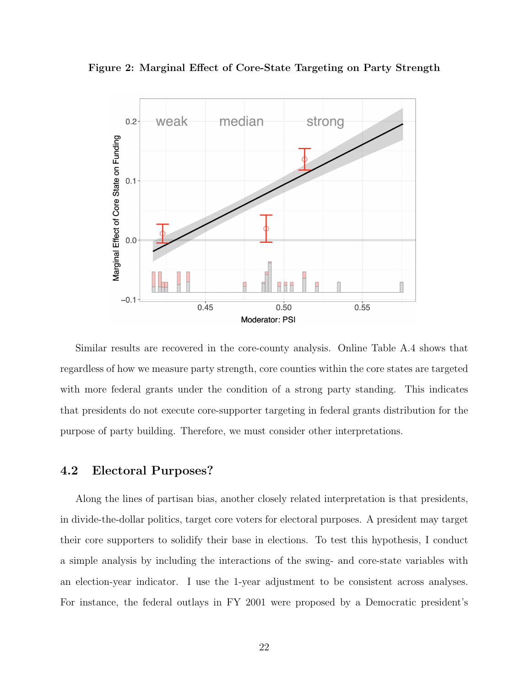<span id="page-22-0"></span>Figure 2: Marginal Effect of Core-State Targeting on Party Strength



Similar results are recovered in the core-county analysis. Online Table [A.4](#page-42-0) shows that regardless of how we measure party strength, core counties within the core states are targeted with more federal grants under the condition of a strong party standing. This indicates that presidents do not execute core-supporter targeting in federal grants distribution for the purpose of party building. Therefore, we must consider other interpretations.

#### 4.2 Electoral Purposes?

Along the lines of partisan bias, another closely related interpretation is that presidents, in divide-the-dollar politics, target core voters for electoral purposes. A president may target their core supporters to solidify their base in elections. To test this hypothesis, I conduct a simple analysis by including the interactions of the swing- and core-state variables with an election-year indicator. I use the 1-year adjustment to be consistent across analyses. For instance, the federal outlays in FY 2001 were proposed by a Democratic president's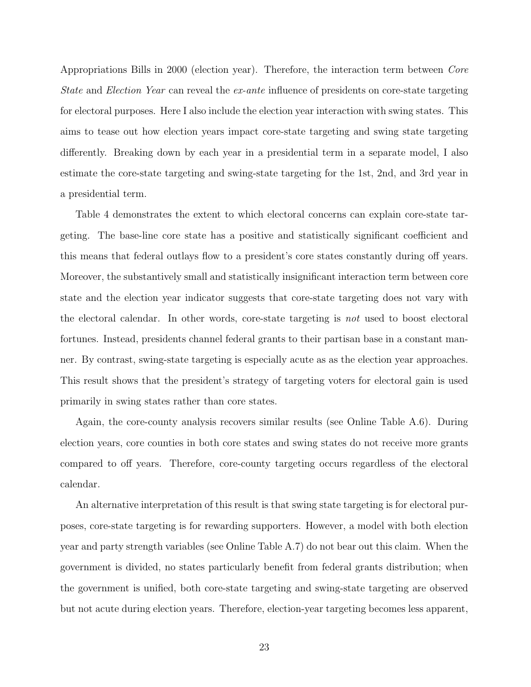Appropriations Bills in 2000 (election year). Therefore, the interaction term between Core State and Election Year can reveal the ex-ante influence of presidents on core-state targeting for electoral purposes. Here I also include the election year interaction with swing states. This aims to tease out how election years impact core-state targeting and swing state targeting differently. Breaking down by each year in a presidential term in a separate model, I also estimate the core-state targeting and swing-state targeting for the 1st, 2nd, and 3rd year in a presidential term.

Table 4 demonstrates the extent to which electoral concerns can explain core-state targeting. The base-line core state has a positive and statistically significant coefficient and this means that federal outlays flow to a president's core states constantly during off years. Moreover, the substantively small and statistically insignificant interaction term between core state and the election year indicator suggests that core-state targeting does not vary with the electoral calendar. In other words, core-state targeting is not used to boost electoral fortunes. Instead, presidents channel federal grants to their partisan base in a constant manner. By contrast, swing-state targeting is especially acute as as the election year approaches. This result shows that the president's strategy of targeting voters for electoral gain is used primarily in swing states rather than core states.

Again, the core-county analysis recovers similar results (see Online Table [A.6\)](#page-44-0). During election years, core counties in both core states and swing states do not receive more grants compared to off years. Therefore, core-county targeting occurs regardless of the electoral calendar.

An alternative interpretation of this result is that swing state targeting is for electoral purposes, core-state targeting is for rewarding supporters. However, a model with both election year and party strength variables (see Online Table [A.7\)](#page-45-0) do not bear out this claim. When the government is divided, no states particularly benefit from federal grants distribution; when the government is unified, both core-state targeting and swing-state targeting are observed but not acute during election years. Therefore, election-year targeting becomes less apparent,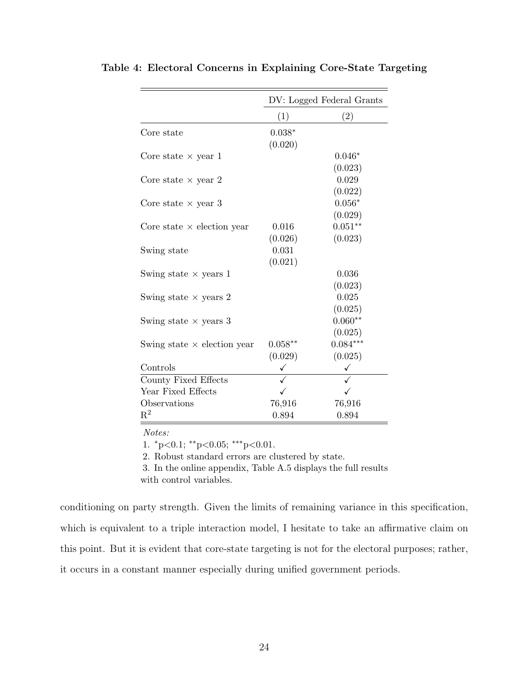|                                    | DV: Logged Federal Grants |            |  |
|------------------------------------|---------------------------|------------|--|
|                                    | (1)                       | (2)        |  |
| Core state                         | $0.038*$                  |            |  |
|                                    | (0.020)                   |            |  |
| Core state $\times$ year 1         |                           | $0.046*$   |  |
|                                    |                           | (0.023)    |  |
| Core state $\times$ year 2         |                           | 0.029      |  |
|                                    |                           | (0.022)    |  |
| Core state $\times$ year 3         |                           | $0.056*$   |  |
|                                    |                           | (0.029)    |  |
| Core state $\times$ election year  | 0.016                     | $0.051**$  |  |
|                                    | (0.026)                   | (0.023)    |  |
| Swing state                        | 0.031                     |            |  |
|                                    | (0.021)                   |            |  |
| Swing state $\times$ years 1       |                           | 0.036      |  |
|                                    |                           | (0.023)    |  |
| Swing state $\times$ years 2       |                           | 0.025      |  |
|                                    |                           | (0.025)    |  |
| Swing state $\times$ years 3       |                           | $0.060**$  |  |
|                                    |                           | (0.025)    |  |
| Swing state $\times$ election year | $0.058**$                 | $0.084***$ |  |
|                                    | (0.029)                   | (0.025)    |  |
| Controls                           |                           | ✓          |  |
| County Fixed Effects               |                           |            |  |
| Year Fixed Effects                 |                           |            |  |
| Observations                       | 76,916                    | 76,916     |  |
| $\mathbf{R}^2$                     | 0.894                     | 0.894      |  |

Table 4: Electoral Concerns in Explaining Core-State Targeting

Notes:

1.  ${}^*p<0.1$ ;  ${}^*p<0.05$ ;  ${}^*{}^*p<0.01$ .

2. Robust standard errors are clustered by state.

3. In the online appendix, Table [A.5](#page-43-0) displays the full results with control variables.

conditioning on party strength. Given the limits of remaining variance in this specification, which is equivalent to a triple interaction model, I hesitate to take an affirmative claim on this point. But it is evident that core-state targeting is not for the electoral purposes; rather, it occurs in a constant manner especially during unified government periods.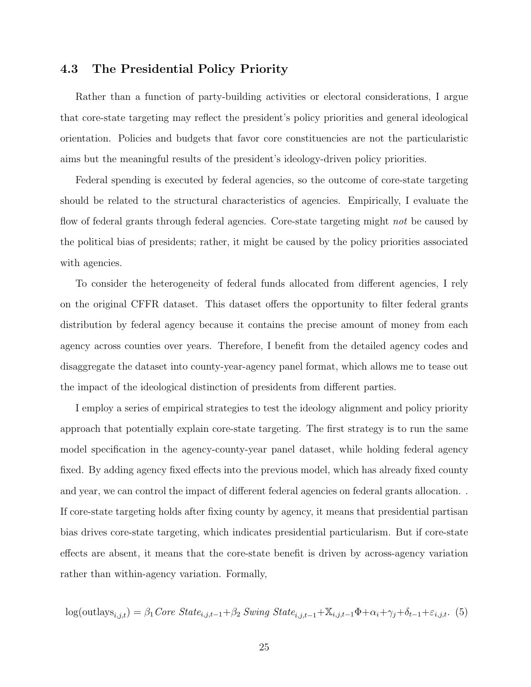#### 4.3 The Presidential Policy Priority

Rather than a function of party-building activities or electoral considerations, I argue that core-state targeting may reflect the president's policy priorities and general ideological orientation. Policies and budgets that favor core constituencies are not the particularistic aims but the meaningful results of the president's ideology-driven policy priorities.

Federal spending is executed by federal agencies, so the outcome of core-state targeting should be related to the structural characteristics of agencies. Empirically, I evaluate the flow of federal grants through federal agencies. Core-state targeting might not be caused by the political bias of presidents; rather, it might be caused by the policy priorities associated with agencies.

To consider the heterogeneity of federal funds allocated from different agencies, I rely on the original CFFR dataset. This dataset offers the opportunity to filter federal grants distribution by federal agency because it contains the precise amount of money from each agency across counties over years. Therefore, I benefit from the detailed agency codes and disaggregate the dataset into county-year-agency panel format, which allows me to tease out the impact of the ideological distinction of presidents from different parties.

I employ a series of empirical strategies to test the ideology alignment and policy priority approach that potentially explain core-state targeting. The first strategy is to run the same model specification in the agency-county-year panel dataset, while holding federal agency fixed. By adding agency fixed effects into the previous model, which has already fixed county and year, we can control the impact of different federal agencies on federal grants allocation. . If core-state targeting holds after fixing county by agency, it means that presidential partisan bias drives core-state targeting, which indicates presidential particularism. But if core-state effects are absent, it means that the core-state benefit is driven by across-agency variation rather than within-agency variation. Formally,

$$
\log(\text{outlays}_{i,j,t}) = \beta_1 \text{Core State}_{i,j,t-1} + \beta_2 \text{Swing State}_{i,j,t-1} + \mathbb{X}_{i,j,t-1} \Phi + \alpha_i + \gamma_j + \delta_{t-1} + \varepsilon_{i,j,t}.
$$
 (5)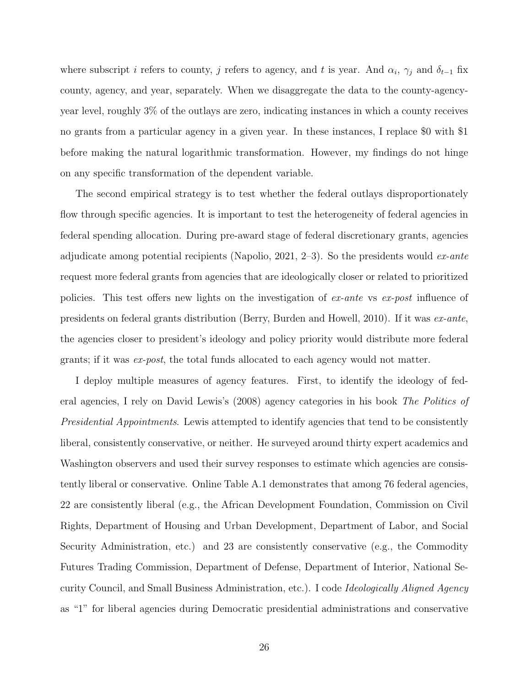where subscript i refers to county, j refers to agency, and t is year. And  $\alpha_i$ ,  $\gamma_j$  and  $\delta_{t-1}$  fix county, agency, and year, separately. When we disaggregate the data to the county-agencyyear level, roughly 3% of the outlays are zero, indicating instances in which a county receives no grants from a particular agency in a given year. In these instances, I replace \$0 with \$1 before making the natural logarithmic transformation. However, my findings do not hinge on any specific transformation of the dependent variable.

The second empirical strategy is to test whether the federal outlays disproportionately flow through specific agencies. It is important to test the heterogeneity of federal agencies in federal spending allocation. During pre-award stage of federal discretionary grants, agencies adjudicate among potential recipients [\(Napolio,](#page-36-2) [2021,](#page-36-2) 2-3). So the presidents would  $ex$ -ante request more federal grants from agencies that are ideologically closer or related to prioritized policies. This test offers new lights on the investigation of ex-ante vs ex-post influence of presidents on federal grants distribution [\(Berry, Burden and Howell,](#page-33-0) [2010\)](#page-33-0). If it was ex-ante, the agencies closer to president's ideology and policy priority would distribute more federal grants; if it was ex-post, the total funds allocated to each agency would not matter.

I deploy multiple measures of agency features. First, to identify the ideology of federal agencies, I rely on David Lewis's (2008) agency categories in his book The Politics of Presidential Appointments. Lewis attempted to identify agencies that tend to be consistently liberal, consistently conservative, or neither. He surveyed around thirty expert academics and Washington observers and used their survey responses to estimate which agencies are consistently liberal or conservative. Online Table A.1 demonstrates that among 76 federal agencies, 22 are consistently liberal (e.g., the African Development Foundation, Commission on Civil Rights, Department of Housing and Urban Development, Department of Labor, and Social Security Administration, etc.) and 23 are consistently conservative (e.g., the Commodity Futures Trading Commission, Department of Defense, Department of Interior, National Security Council, and Small Business Administration, etc.). I code Ideologically Aligned Agency as "1" for liberal agencies during Democratic presidential administrations and conservative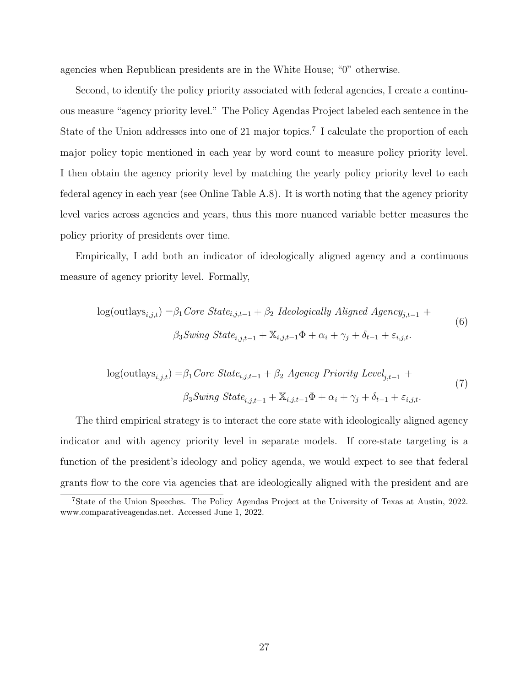agencies when Republican presidents are in the White House; "0" otherwise.

Second, to identify the policy priority associated with federal agencies, I create a continuous measure "agency priority level." The Policy Agendas Project labeled each sentence in the State of the Union addresses into one of 21 major topics.<sup>[7](#page-27-0)</sup> I calculate the proportion of each major policy topic mentioned in each year by word count to measure policy priority level. I then obtain the agency priority level by matching the yearly policy priority level to each federal agency in each year (see Online Table [A.8\)](#page-46-0). It is worth noting that the agency priority level varies across agencies and years, thus this more nuanced variable better measures the policy priority of presidents over time.

Empirically, I add both an indicator of ideologically aligned agency and a continuous measure of agency priority level. Formally,

$$
log(outlass_{i,j,t}) = \beta_1 Core State_{i,j,t-1} + \beta_2 \ Ideologically \ Aligned \ Agency_{j,t-1} + \n\beta_3 Swing State_{i,j,t-1} + \mathbb{X}_{i,j,t-1} \Phi + \alpha_i + \gamma_j + \delta_{t-1} + \varepsilon_{i,j,t}.
$$
\n
$$
(6)
$$

$$
log(outlass_{i,j,t}) = \beta_1 Core State_{i,j,t-1} + \beta_2 Agency Priority Level_{j,t-1} +
$$
  

$$
\beta_3 Swing State_{i,j,t-1} + \mathbb{X}_{i,j,t-1} \Phi + \alpha_i + \gamma_j + \delta_{t-1} + \varepsilon_{i,j,t}.
$$
 (7)

The third empirical strategy is to interact the core state with ideologically aligned agency indicator and with agency priority level in separate models. If core-state targeting is a function of the president's ideology and policy agenda, we would expect to see that federal grants flow to the core via agencies that are ideologically aligned with the president and are

<span id="page-27-0"></span><sup>7</sup>State of the Union Speeches. The Policy Agendas Project at the University of Texas at Austin, 2022. www.comparativeagendas.net. Accessed June 1, 2022.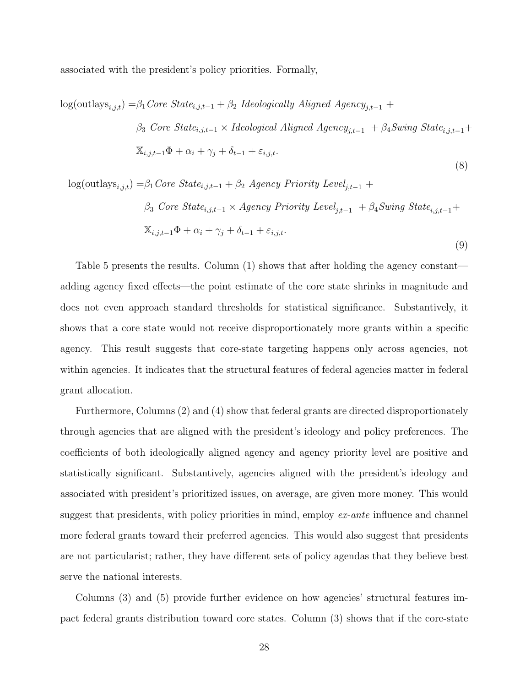associated with the president's policy priorities. Formally,

 $log(outlass_{i,j,t}) = \beta_1 Core \ State_{i,j,t-1} + \beta_2 \ Ideologically \ Aljgned \ Agency_{j,t-1} +$  $\beta_3$  Core State<sub>i,j,t−1</sub> × Ideological Aligned Agency<sub>j,t−1</sub> +  $\beta_4$ Swing State<sub>i,j,t−1</sub>+  $\mathbb{X}_{i,j,t-1}\Phi + \alpha_i + \gamma_j + \delta_{t-1} + \varepsilon_{i,j,t}.$ 

$$
log(outlass_{i,j,t}) = \beta_1 Core State_{i,j,t-1} + \beta_2 Agency Priority Level_{j,t-1} +
$$
  
\n
$$
\beta_3 Core State_{i,j,t-1} \times Agency Priority Level_{j,t-1} + \beta_4 Swing State_{i,j,t-1} +
$$
  
\n
$$
\mathbb{X}_{i,j,t-1}\Phi + \alpha_i + \gamma_j + \delta_{t-1} + \varepsilon_{i,j,t}.
$$
  
\n(9)

(8)

Table [5](#page-29-0) presents the results. Column (1) shows that after holding the agency constant adding agency fixed effects—the point estimate of the core state shrinks in magnitude and does not even approach standard thresholds for statistical significance. Substantively, it shows that a core state would not receive disproportionately more grants within a specific agency. This result suggests that core-state targeting happens only across agencies, not within agencies. It indicates that the structural features of federal agencies matter in federal grant allocation.

Furthermore, Columns (2) and (4) show that federal grants are directed disproportionately through agencies that are aligned with the president's ideology and policy preferences. The coefficients of both ideologically aligned agency and agency priority level are positive and statistically significant. Substantively, agencies aligned with the president's ideology and associated with president's prioritized issues, on average, are given more money. This would suggest that presidents, with policy priorities in mind, employ  $ex$ -ante influence and channel more federal grants toward their preferred agencies. This would also suggest that presidents are not particularist; rather, they have different sets of policy agendas that they believe best serve the national interests.

Columns (3) and (5) provide further evidence on how agencies' structural features impact federal grants distribution toward core states. Column (3) shows that if the core-state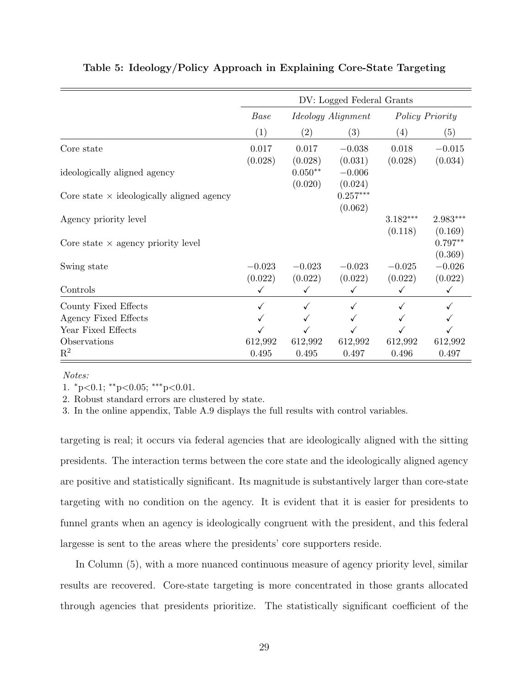|                                                  | DV: Logged Federal Grants |                                              |                                |            |                                 |
|--------------------------------------------------|---------------------------|----------------------------------------------|--------------------------------|------------|---------------------------------|
|                                                  | Base                      | <i>Ideology Alignment</i><br>Policy Priority |                                |            |                                 |
|                                                  | (1)                       | (2)                                          | (3)                            | (4)        | (5)                             |
| Core state                                       | 0.017                     | 0.017                                        | $-0.038$                       | 0.018      | $-0.015$                        |
| ideologically aligned agency                     | (0.028)                   | (0.028)<br>$0.050**$<br>(0.020)              | (0.031)<br>$-0.006$<br>(0.024) | (0.028)    | (0.034)                         |
| Core state $\times$ ideologically aligned agency |                           |                                              | $0.257***$<br>(0.062)          |            |                                 |
| Agency priority level                            |                           |                                              |                                | $3.182***$ | $2.983***$                      |
| Core state $\times$ agency priority level        |                           |                                              |                                | (0.118)    | (0.169)<br>$0.797**$<br>(0.369) |
| Swing state                                      | $-0.023$                  | $-0.023$                                     | $-0.023$                       | $-0.025$   | $-0.026$                        |
| Controls                                         | (0.022)<br>$\checkmark$   | (0.022)                                      | (0.022)                        | (0.022)    | (0.022)                         |
| County Fixed Effects                             | ✓                         | ✓                                            |                                |            |                                 |
| Agency Fixed Effects                             |                           |                                              |                                |            |                                 |
| Year Fixed Effects                               |                           |                                              |                                |            |                                 |
| Observations                                     | 612,992                   | 612,992                                      | 612,992                        | 612,992    | 612,992                         |
| $\mathbf{R}^2$                                   | 0.495                     | 0.495                                        | 0.497                          | 0.496      | 0.497                           |

#### <span id="page-29-0"></span>Table 5: Ideology/Policy Approach in Explaining Core-State Targeting

Notes:

1.  ${}^*p<0.1$ ;  ${}^*p<0.05$ ;  ${}^*{}^*p<0.01$ .

2. Robust standard errors are clustered by state.

3. In the online appendix, Table [A.9](#page-47-0) displays the full results with control variables.

targeting is real; it occurs via federal agencies that are ideologically aligned with the sitting presidents. The interaction terms between the core state and the ideologically aligned agency are positive and statistically significant. Its magnitude is substantively larger than core-state targeting with no condition on the agency. It is evident that it is easier for presidents to funnel grants when an agency is ideologically congruent with the president, and this federal largesse is sent to the areas where the presidents' core supporters reside.

In Column (5), with a more nuanced continuous measure of agency priority level, similar results are recovered. Core-state targeting is more concentrated in those grants allocated through agencies that presidents prioritize. The statistically significant coefficient of the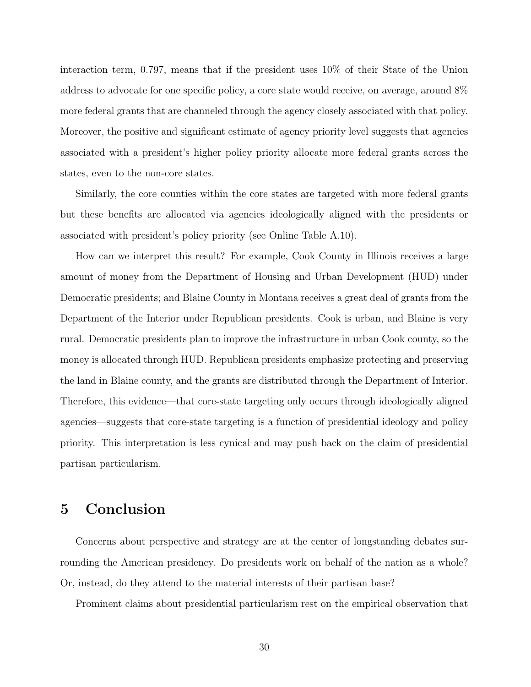interaction term, 0.797, means that if the president uses 10% of their State of the Union address to advocate for one specific policy, a core state would receive, on average, around 8% more federal grants that are channeled through the agency closely associated with that policy. Moreover, the positive and significant estimate of agency priority level suggests that agencies associated with a president's higher policy priority allocate more federal grants across the states, even to the non-core states.

Similarly, the core counties within the core states are targeted with more federal grants but these benefits are allocated via agencies ideologically aligned with the presidents or associated with president's policy priority (see Online Table [A.10\)](#page-48-0).

How can we interpret this result? For example, Cook County in Illinois receives a large amount of money from the Department of Housing and Urban Development (HUD) under Democratic presidents; and Blaine County in Montana receives a great deal of grants from the Department of the Interior under Republican presidents. Cook is urban, and Blaine is very rural. Democratic presidents plan to improve the infrastructure in urban Cook county, so the money is allocated through HUD. Republican presidents emphasize protecting and preserving the land in Blaine county, and the grants are distributed through the Department of Interior. Therefore, this evidence—that core-state targeting only occurs through ideologically aligned agencies—suggests that core-state targeting is a function of presidential ideology and policy priority. This interpretation is less cynical and may push back on the claim of presidential partisan particularism.

### 5 Conclusion

Concerns about perspective and strategy are at the center of longstanding debates surrounding the American presidency. Do presidents work on behalf of the nation as a whole? Or, instead, do they attend to the material interests of their partisan base?

Prominent claims about presidential particularism rest on the empirical observation that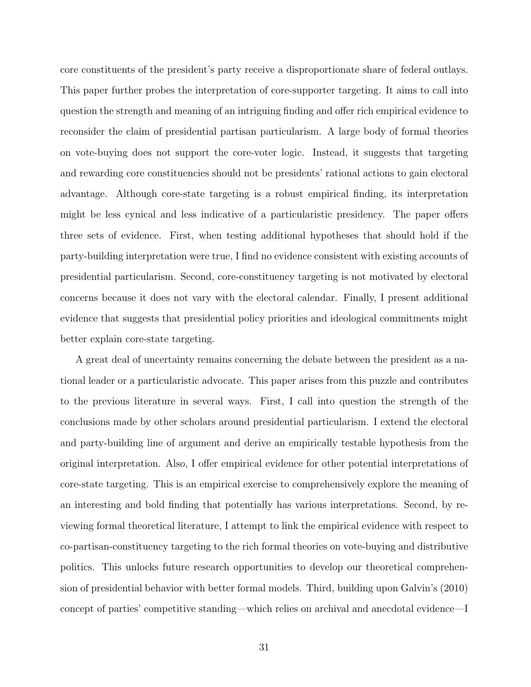core constituents of the president's party receive a disproportionate share of federal outlays. This paper further probes the interpretation of core-supporter targeting. It aims to call into question the strength and meaning of an intriguing finding and offer rich empirical evidence to reconsider the claim of presidential partisan particularism. A large body of formal theories on vote-buying does not support the core-voter logic. Instead, it suggests that targeting and rewarding core constituencies should not be presidents' rational actions to gain electoral advantage. Although core-state targeting is a robust empirical finding, its interpretation might be less cynical and less indicative of a particularistic presidency. The paper offers three sets of evidence. First, when testing additional hypotheses that should hold if the party-building interpretation were true, I find no evidence consistent with existing accounts of presidential particularism. Second, core-constituency targeting is not motivated by electoral concerns because it does not vary with the electoral calendar. Finally, I present additional evidence that suggests that presidential policy priorities and ideological commitments might better explain core-state targeting.

A great deal of uncertainty remains concerning the debate between the president as a national leader or a particularistic advocate. This paper arises from this puzzle and contributes to the previous literature in several ways. First, I call into question the strength of the conclusions made by other scholars around presidential particularism. I extend the electoral and party-building line of argument and derive an empirically testable hypothesis from the original interpretation. Also, I offer empirical evidence for other potential interpretations of core-state targeting. This is an empirical exercise to comprehensively explore the meaning of an interesting and bold finding that potentially has various interpretations. Second, by reviewing formal theoretical literature, I attempt to link the empirical evidence with respect to co-partisan-constituency targeting to the rich formal theories on vote-buying and distributive politics. This unlocks future research opportunities to develop our theoretical comprehension of presidential behavior with better formal models. Third, building upon Galvin's (2010) concept of parties' competitive standing—which relies on archival and anecdotal evidence—I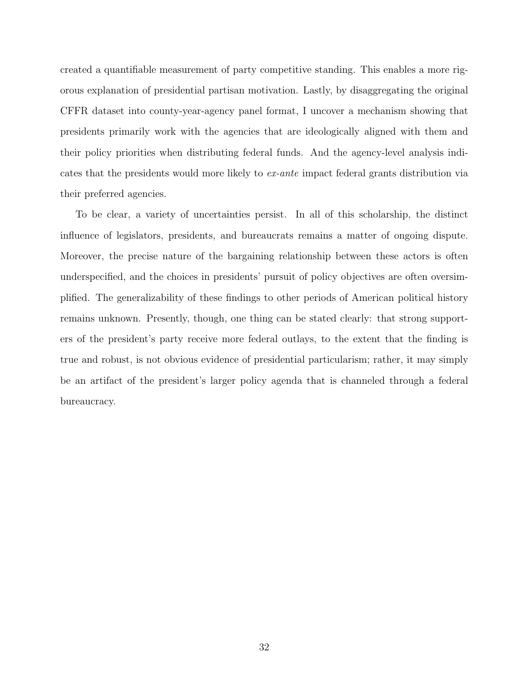created a quantifiable measurement of party competitive standing. This enables a more rigorous explanation of presidential partisan motivation. Lastly, by disaggregating the original CFFR dataset into county-year-agency panel format, I uncover a mechanism showing that presidents primarily work with the agencies that are ideologically aligned with them and their policy priorities when distributing federal funds. And the agency-level analysis indicates that the presidents would more likely to ex-ante impact federal grants distribution via their preferred agencies.

To be clear, a variety of uncertainties persist. In all of this scholarship, the distinct influence of legislators, presidents, and bureaucrats remains a matter of ongoing dispute. Moreover, the precise nature of the bargaining relationship between these actors is often underspecified, and the choices in presidents' pursuit of policy objectives are often oversimplified. The generalizability of these findings to other periods of American political history remains unknown. Presently, though, one thing can be stated clearly: that strong supporters of the president's party receive more federal outlays, to the extent that the finding is true and robust, is not obvious evidence of presidential particularism; rather, it may simply be an artifact of the president's larger policy agenda that is channeled through a federal bureaucracy.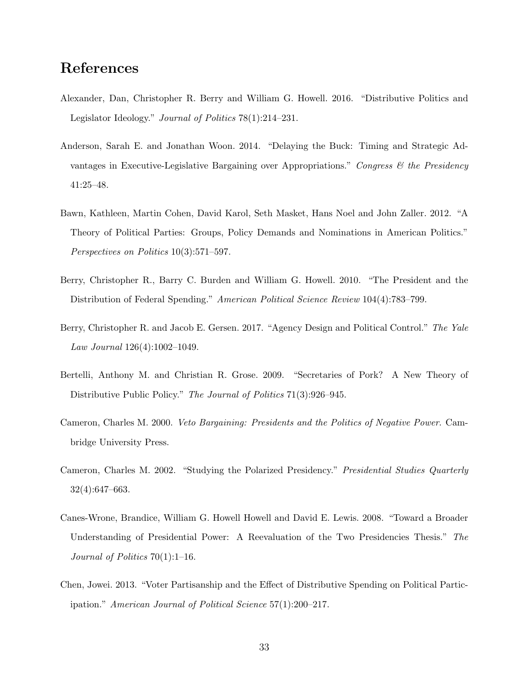## References

- <span id="page-33-7"></span>Alexander, Dan, Christopher R. Berry and William G. Howell. 2016. "Distributive Politics and Legislator Ideology." Journal of Politics 78(1):214–231.
- <span id="page-33-8"></span>Anderson, Sarah E. and Jonathan Woon. 2014. "Delaying the Buck: Timing and Strategic Advantages in Executive-Legislative Bargaining over Appropriations." Congress  $\mathcal{C}$  the Presidency 41:25–48.
- <span id="page-33-6"></span>Bawn, Kathleen, Martin Cohen, David Karol, Seth Masket, Hans Noel and John Zaller. 2012. "A Theory of Political Parties: Groups, Policy Demands and Nominations in American Politics." Perspectives on Politics 10(3):571–597.
- <span id="page-33-0"></span>Berry, Christopher R., Barry C. Burden and William G. Howell. 2010. "The President and the Distribution of Federal Spending." American Political Science Review 104(4):783–799.
- <span id="page-33-2"></span>Berry, Christopher R. and Jacob E. Gersen. 2017. "Agency Design and Political Control." The Yale Law Journal 126(4):1002–1049.
- <span id="page-33-1"></span>Bertelli, Anthony M. and Christian R. Grose. 2009. "Secretaries of Pork? A New Theory of Distributive Public Policy." The Journal of Politics 71(3):926–945.
- <span id="page-33-9"></span>Cameron, Charles M. 2000. Veto Bargaining: Presidents and the Politics of Negative Power. Cambridge University Press.
- <span id="page-33-5"></span>Cameron, Charles M. 2002. "Studying the Polarized Presidency." Presidential Studies Quarterly 32(4):647–663.
- <span id="page-33-3"></span>Canes-Wrone, Brandice, William G. Howell Howell and David E. Lewis. 2008. "Toward a Broader Understanding of Presidential Power: A Reevaluation of the Two Presidencies Thesis." The Journal of Politics 70(1):1–16.
- <span id="page-33-4"></span>Chen, Jowei. 2013. "Voter Partisanship and the Effect of Distributive Spending on Political Participation." American Journal of Political Science 57(1):200–217.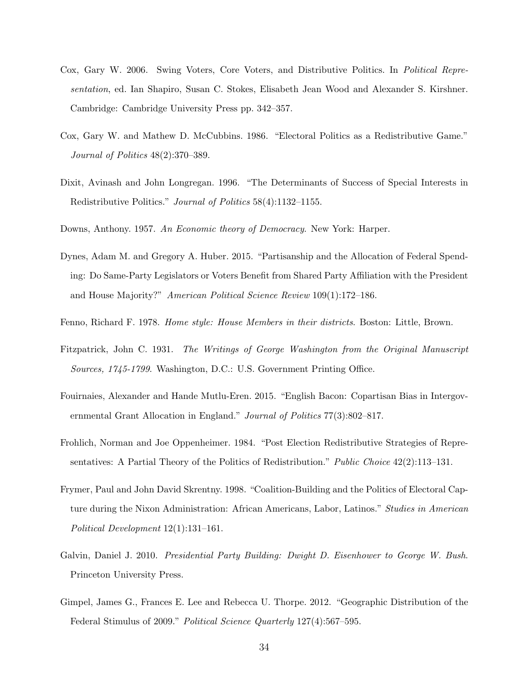- <span id="page-34-9"></span>Cox, Gary W. 2006. Swing Voters, Core Voters, and Distributive Politics. In Political Representation, ed. Ian Shapiro, Susan C. Stokes, Elisabeth Jean Wood and Alexander S. Kirshner. Cambridge: Cambridge University Press pp. 342–357.
- <span id="page-34-8"></span>Cox, Gary W. and Mathew D. McCubbins. 1986. "Electoral Politics as a Redistributive Game." Journal of Politics 48(2):370–389.
- <span id="page-34-7"></span>Dixit, Avinash and John Longregan. 1996. "The Determinants of Success of Special Interests in Redistributive Politics." Journal of Politics 58(4):1132–1155.
- <span id="page-34-5"></span>Downs, Anthony. 1957. An Economic theory of Democracy. New York: Harper.
- <span id="page-34-0"></span>Dynes, Adam M. and Gregory A. Huber. 2015. "Partisanship and the Allocation of Federal Spending: Do Same-Party Legislators or Voters Benefit from Shared Party Affiliation with the President and House Majority?" American Political Science Review 109(1):172–186.
- <span id="page-34-4"></span>Fenno, Richard F. 1978. Home style: House Members in their districts. Boston: Little, Brown.
- <span id="page-34-2"></span>Fitzpatrick, John C. 1931. The Writings of George Washington from the Original Manuscript Sources, 1745-1799. Washington, D.C.: U.S. Government Printing Office.
- <span id="page-34-11"></span>Fouirnaies, Alexander and Hande Mutlu-Eren. 2015. "English Bacon: Copartisan Bias in Intergovernmental Grant Allocation in England." Journal of Politics 77(3):802–817.
- <span id="page-34-6"></span>Frohlich, Norman and Joe Oppenheimer. 1984. "Post Election Redistributive Strategies of Representatives: A Partial Theory of the Politics of Redistribution." Public Choice 42(2):113-131.
- <span id="page-34-10"></span>Frymer, Paul and John David Skrentny. 1998. "Coalition-Building and the Politics of Electoral Capture during the Nixon Administration: African Americans, Labor, Latinos." *Studies in American* Political Development 12(1):131–161.
- <span id="page-34-3"></span>Galvin, Daniel J. 2010. Presidential Party Building: Dwight D. Eisenhower to George W. Bush. Princeton University Press.
- <span id="page-34-1"></span>Gimpel, James G., Frances E. Lee and Rebecca U. Thorpe. 2012. "Geographic Distribution of the Federal Stimulus of 2009." Political Science Quarterly 127(4):567–595.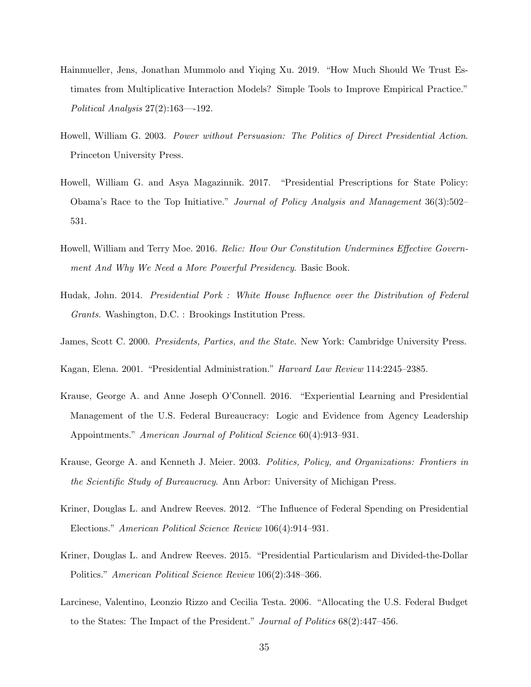- <span id="page-35-11"></span>Hainmueller, Jens, Jonathan Mummolo and Yiqing Xu. 2019. "How Much Should We Trust Estimates from Multiplicative Interaction Models? Simple Tools to Improve Empirical Practice." Political Analysis 27(2):163—-192.
- <span id="page-35-10"></span>Howell, William G. 2003. Power without Persuasion: The Politics of Direct Presidential Action. Princeton University Press.
- <span id="page-35-9"></span>Howell, William G. and Asya Magazinnik. 2017. "Presidential Prescriptions for State Policy: Obama's Race to the Top Initiative." Journal of Policy Analysis and Management 36(3):502– 531.
- <span id="page-35-2"></span>Howell, William and Terry Moe. 2016. Relic: How Our Constitution Undermines Effective Government And Why We Need a More Powerful Presidency. Basic Book.
- <span id="page-35-6"></span>Hudak, John. 2014. Presidential Pork : White House Influence over the Distribution of Federal Grants. Washington, D.C. : Brookings Institution Press.
- <span id="page-35-7"></span>James, Scott C. 2000. Presidents, Parties, and the State. New York: Cambridge University Press.
- <span id="page-35-3"></span>Kagan, Elena. 2001. "Presidential Administration." Harvard Law Review 114:2245–2385.
- <span id="page-35-5"></span>Krause, George A. and Anne Joseph O'Connell. 2016. "Experiential Learning and Presidential Management of the U.S. Federal Bureaucracy: Logic and Evidence from Agency Leadership Appointments." American Journal of Political Science 60(4):913–931.
- <span id="page-35-4"></span>Krause, George A. and Kenneth J. Meier. 2003. Politics, Policy, and Organizations: Frontiers in the Scientific Study of Bureaucracy. Ann Arbor: University of Michigan Press.
- <span id="page-35-8"></span>Kriner, Douglas L. and Andrew Reeves. 2012. "The Influence of Federal Spending on Presidential Elections." American Political Science Review 106(4):914–931.
- <span id="page-35-0"></span>Kriner, Douglas L. and Andrew Reeves. 2015. "Presidential Particularism and Divided-the-Dollar Politics." American Political Science Review 106(2):348–366.
- <span id="page-35-1"></span>Larcinese, Valentino, Leonzio Rizzo and Cecilia Testa. 2006. "Allocating the U.S. Federal Budget to the States: The Impact of the President." Journal of Politics 68(2):447–456.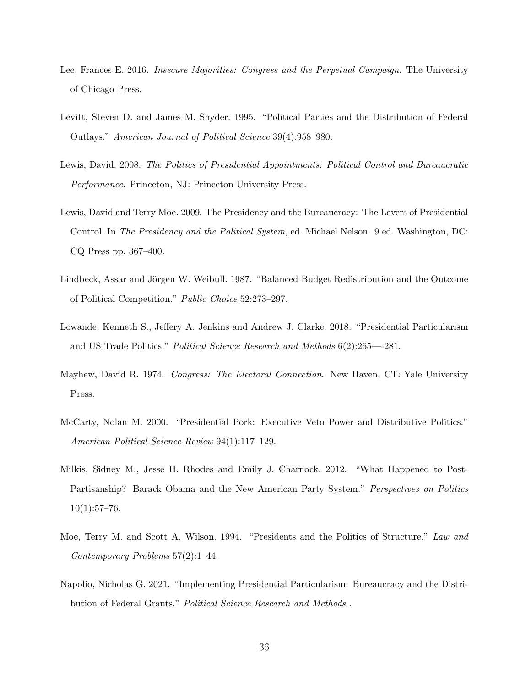- <span id="page-36-7"></span>Lee, Frances E. 2016. *Insecure Majorities: Congress and the Perpetual Campaign*. The University of Chicago Press.
- <span id="page-36-0"></span>Levitt, Steven D. and James M. Snyder. 1995. "Political Parties and the Distribution of Federal Outlays." American Journal of Political Science 39(4):958–980.
- <span id="page-36-9"></span>Lewis, David. 2008. The Politics of Presidential Appointments: Political Control and Bureaucratic Performance. Princeton, NJ: Princeton University Press.
- <span id="page-36-10"></span>Lewis, David and Terry Moe. 2009. The Presidency and the Bureaucracy: The Levers of Presidential Control. In The Presidency and the Political System, ed. Michael Nelson. 9 ed. Washington, DC: CQ Press pp. 367–400.
- <span id="page-36-6"></span>Lindbeck, Assar and Jörgen W. Weibull. 1987. "Balanced Budget Redistribution and the Outcome of Political Competition." Public Choice 52:273–297.
- <span id="page-36-1"></span>Lowande, Kenneth S., Jeffery A. Jenkins and Andrew J. Clarke. 2018. "Presidential Particularism and US Trade Politics." Political Science Research and Methods 6(2):265—-281.
- <span id="page-36-3"></span>Mayhew, David R. 1974. Congress: The Electoral Connection. New Haven, CT: Yale University Press.
- <span id="page-36-5"></span>McCarty, Nolan M. 2000. "Presidential Pork: Executive Veto Power and Distributive Politics." American Political Science Review 94(1):117–129.
- <span id="page-36-8"></span>Milkis, Sidney M., Jesse H. Rhodes and Emily J. Charnock. 2012. "What Happened to Post-Partisanship? Barack Obama and the New American Party System." Perspectives on Politics  $10(1):57-76.$
- <span id="page-36-4"></span>Moe, Terry M. and Scott A. Wilson. 1994. "Presidents and the Politics of Structure." Law and Contemporary Problems 57(2):1–44.
- <span id="page-36-2"></span>Napolio, Nicholas G. 2021. "Implementing Presidential Particularism: Bureaucracy and the Distribution of Federal Grants." Political Science Research and Methods .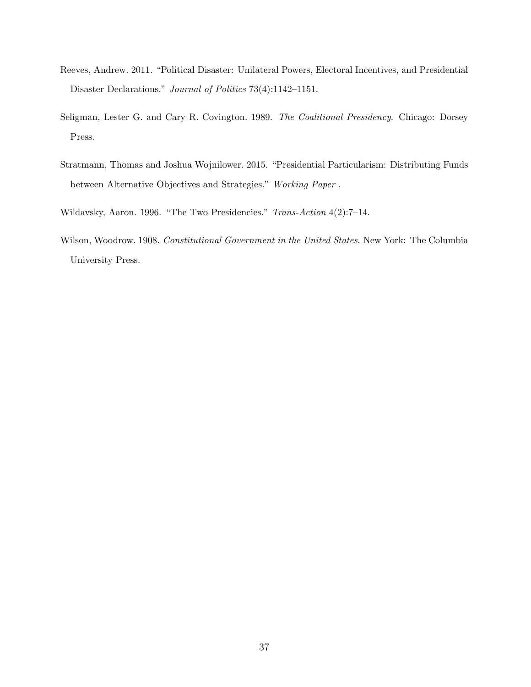- <span id="page-37-2"></span>Reeves, Andrew. 2011. "Political Disaster: Unilateral Powers, Electoral Incentives, and Presidential Disaster Declarations." Journal of Politics 73(4):1142–1151.
- <span id="page-37-4"></span>Seligman, Lester G. and Cary R. Covington. 1989. The Coalitional Presidency. Chicago: Dorsey Press.
- <span id="page-37-1"></span>Stratmann, Thomas and Joshua Wojnilower. 2015. "Presidential Particularism: Distributing Funds between Alternative Objectives and Strategies." Working Paper .
- <span id="page-37-3"></span>Wildavsky, Aaron. 1996. "The Two Presidencies." Trans-Action 4(2):7–14.
- <span id="page-37-0"></span>Wilson, Woodrow. 1908. Constitutional Government in the United States. New York: The Columbia University Press.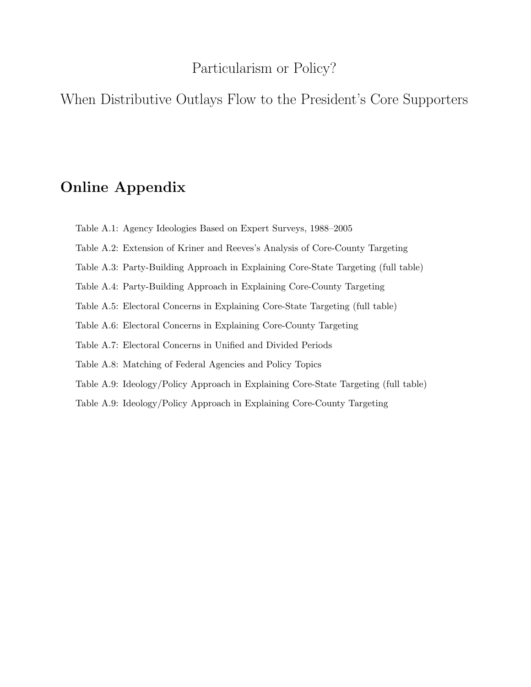### Particularism or Policy?

When Distributive Outlays Flow to the President's Core Supporters

# Online Appendix

- Table A.1: Agency Ideologies Based on Expert Surveys, 1988–2005
- Table A.2: Extension of Kriner and Reeves's Analysis of Core-County Targeting
- Table A.3: Party-Building Approach in Explaining Core-State Targeting (full table)
- Table A.4: Party-Building Approach in Explaining Core-County Targeting
- Table A.5: Electoral Concerns in Explaining Core-State Targeting (full table)
- Table A.6: Electoral Concerns in Explaining Core-County Targeting
- Table A.7: Electoral Concerns in Unified and Divided Periods
- Table A.8: Matching of Federal Agencies and Policy Topics
- Table A.9: Ideology/Policy Approach in Explaining Core-State Targeting (full table)
- Table A.9: Ideology/Policy Approach in Explaining Core-County Targeting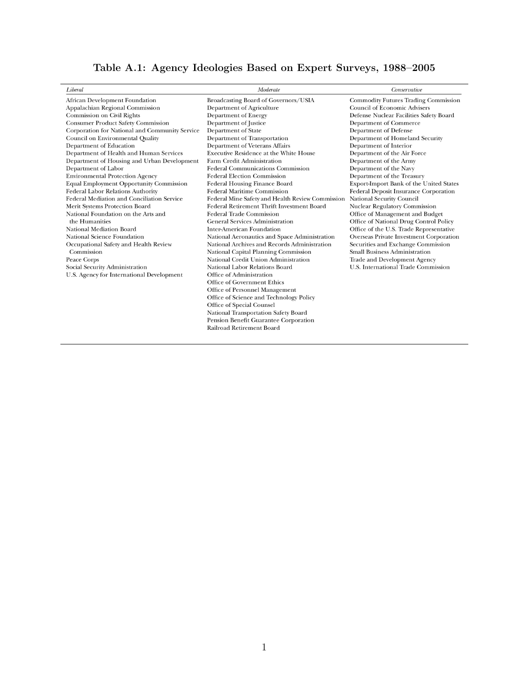| Table A.1: Agency Ideologies Based on Expert Surveys, 1988–2005 |  |  |  |  |
|-----------------------------------------------------------------|--|--|--|--|
|                                                                 |  |  |  |  |

| Liberal                                        | Moderate                                         | Conservative                                 |
|------------------------------------------------|--------------------------------------------------|----------------------------------------------|
| African Development Foundation                 | Broadcasting Board of Governors/USIA             | <b>Commodity Futures Trading Commission</b>  |
| Appalachian Regional Commission                | Department of Agriculture                        | <b>Council of Economic Advisers</b>          |
| Commission on Civil Rights                     | <b>Department of Energy</b>                      | Defense Nuclear Facilities Safety Board      |
| <b>Consumer Product Safety Commission</b>      | Department of Justice                            | Department of Commerce                       |
| Corporation for National and Community Service | Department of State                              | Department of Defense                        |
| Council on Environmental Quality               | Department of Transportation                     | Department of Homeland Security              |
| Department of Education                        | Department of Veterans Affairs                   | Department of Interior                       |
| Department of Health and Human Services        | Executive Residence at the White House           | Department of the Air Force                  |
| Department of Housing and Urban Development    | Farm Credit Administration                       | Department of the Army                       |
| Department of Labor                            | <b>Federal Communications Commission</b>         | Department of the Navy                       |
| <b>Environmental Protection Agency</b>         | <b>Federal Election Commission</b>               | Department of the Treasury                   |
| <b>Equal Employment Opportunity Commission</b> | Federal Housing Finance Board                    | Export-Import Bank of the United States      |
| Federal Labor Relations Authority              | Federal Maritime Commission                      | <b>Federal Deposit Insurance Corporation</b> |
| Federal Mediation and Conciliation Service     | Federal Mine Safety and Health Review Commission | National Security Council                    |
| Merit Systems Protection Board                 | Federal Retirement Thrift Investment Board       | Nuclear Regulatory Commission                |
| National Foundation on the Arts and            | <b>Federal Trade Commission</b>                  | Office of Management and Budget              |
| the Humanities                                 | <b>General Services Administration</b>           | Office of National Drug Control Policy       |
| National Mediation Board                       | <b>Inter-American Foundation</b>                 | Office of the U.S. Trade Representative      |
| National Science Foundation                    | National Aeronautics and Space Administration    | Overseas Private Investment Corporation      |
| Occupational Safety and Health Review          | National Archives and Records Administration     | Securities and Exchange Commission           |
| Commission                                     | National Capital Planning Commission             | Small Business Administration                |
| Peace Corps                                    | National Credit Union Administration             | Trade and Development Agency                 |
| Social Security Administration                 | National Labor Relations Board                   | U.S. International Trade Commission          |
| U.S. Agency for International Development      | Office of Administration                         |                                              |
|                                                | Office of Government Ethics                      |                                              |
|                                                | Office of Personnel Management                   |                                              |
|                                                | Office of Science and Technology Policy          |                                              |
|                                                | Office of Special Counsel                        |                                              |
|                                                | National Transportation Safety Board             |                                              |
|                                                | Pension Benefit Guarantee Corporation            |                                              |
|                                                | Railroad Retirement Board                        |                                              |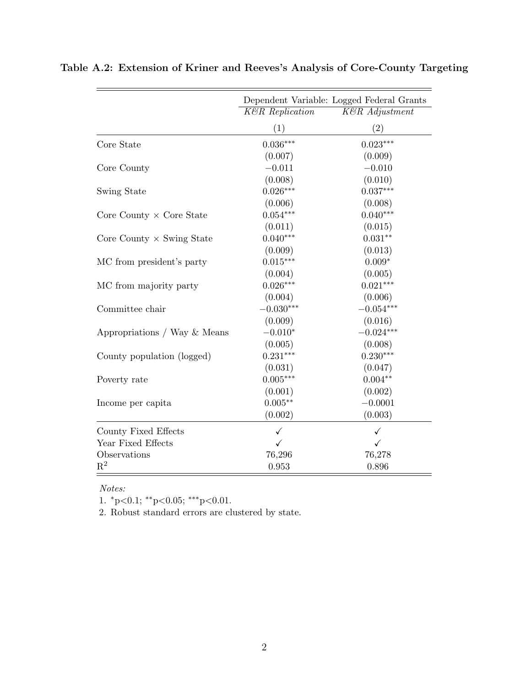|                                  |                            | Dependent Variable: Logged Federal Grants |
|----------------------------------|----------------------------|-------------------------------------------|
|                                  | <b>K&amp;R</b> Replication | K&R Adjustment                            |
|                                  | (1)                        | (2)                                       |
| Core State                       | $0.036***$                 | $0.023***$                                |
|                                  | (0.007)                    | (0.009)                                   |
| Core County                      | $-0.011$                   | $-0.010$                                  |
|                                  | (0.008)                    | (0.010)                                   |
| Swing State                      | $0.026***$                 | $0.037***$                                |
|                                  | (0.006)                    | (0.008)                                   |
| Core County $\times$ Core State  | $0.054***$                 | $0.040***$                                |
|                                  | (0.011)                    | (0.015)                                   |
| Core County $\times$ Swing State | $0.040***$                 | $0.031**$                                 |
|                                  | (0.009)                    | (0.013)                                   |
| MC from president's party        | $0.015***$                 | $0.009*$                                  |
|                                  | (0.004)                    | (0.005)                                   |
| MC from majority party           | $0.026***$                 | $0.021***$                                |
|                                  | (0.004)                    | (0.006)                                   |
| Committee chair                  | $-0.030***$                | $-0.054***$                               |
|                                  | (0.009)                    | (0.016)                                   |
| Appropriations / Way $&$ Means   | $-0.010*$                  | $-0.024***$                               |
|                                  | (0.005)                    | (0.008)                                   |
| County population (logged)       | $0.231***$                 | $0.230***$                                |
|                                  | (0.031)                    | (0.047)                                   |
| Poverty rate                     | $0.005***$                 | $0.004**$                                 |
|                                  | (0.001)                    | (0.002)                                   |
| Income per capita                | $0.005**$                  | $-0.0001$                                 |
|                                  | (0.002)                    | (0.003)                                   |
| County Fixed Effects             | $\checkmark$               | ✓                                         |
| Year Fixed Effects               | ✓                          | ✓                                         |
| Observations                     | 76,296                     | 76,278                                    |
| $\mathrm{R}^2$                   | 0.953                      | 0.896                                     |

<span id="page-40-0"></span>Table A.2: Extension of Kriner and Reeves's Analysis of Core-County Targeting

Notes:

1. <sup>∗</sup>p<0.1; ∗∗p<0.05; ∗∗∗p<0.01.

2. Robust standard errors are clustered by state.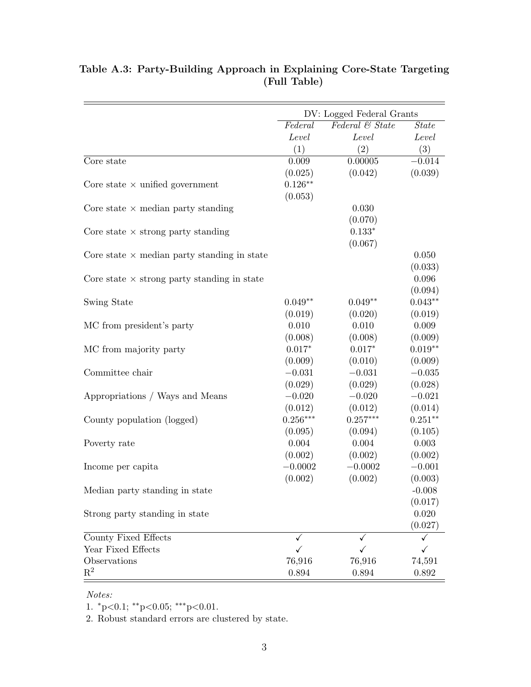|                                                    | DV: Logged Federal Grants |                 |              |
|----------------------------------------------------|---------------------------|-----------------|--------------|
|                                                    | Federal                   | Federal & State | <b>State</b> |
|                                                    | Level                     | Level           | Level        |
|                                                    | (1)                       | (2)             | (3)          |
| Core state                                         | 0.009                     | 0.00005         | $-0.014$     |
|                                                    | (0.025)                   | (0.042)         | (0.039)      |
| Core state $\times$ unified government             | $0.126***$                |                 |              |
|                                                    | (0.053)                   |                 |              |
| Core state $\times$ median party standing          |                           | 0.030           |              |
|                                                    |                           | (0.070)         |              |
| Core state $\times$ strong party standing          |                           | $0.133*$        |              |
|                                                    |                           | (0.067)         |              |
| Core state $\times$ median party standing in state |                           |                 | 0.050        |
|                                                    |                           |                 | (0.033)      |
| Core state $\times$ strong party standing in state |                           |                 | 0.096        |
|                                                    |                           |                 | (0.094)      |
| Swing State                                        | $0.049**$                 | $0.049**$       | $0.043**$    |
|                                                    | (0.019)                   | (0.020)         | (0.019)      |
| MC from president's party                          | 0.010                     | 0.010           | 0.009        |
|                                                    | (0.008)                   | (0.008)         | (0.009)      |
| MC from majority party                             | $0.017*$                  | $0.017*$        | $0.019**$    |
|                                                    | (0.009)                   | (0.010)         | (0.009)      |
| Committee chair                                    | $-0.031$                  | $-0.031$        | $-0.035$     |
|                                                    | (0.029)                   | (0.029)         | (0.028)      |
| Appropriations / Ways and Means                    | $-0.020$                  | $-0.020$        | $-0.021$     |
|                                                    | (0.012)                   | (0.012)         | (0.014)      |
| County population (logged)                         | $0.256***$                | $0.257***$      | $0.251***$   |
|                                                    | (0.095)                   | (0.094)         | (0.105)      |
| Poverty rate                                       | 0.004                     | 0.004           | 0.003        |
|                                                    | (0.002)                   | (0.002)         | (0.002)      |
| Income per capita                                  | $-0.0002$                 | $-0.0002$       | $-0.001$     |
|                                                    | (0.002)                   | (0.002)         | (0.003)      |
| Median party standing in state                     |                           |                 | $-0.008$     |
|                                                    |                           |                 | (0.017)      |
| Strong party standing in state                     |                           |                 | 0.020        |
|                                                    |                           |                 | (0.027)      |
| County Fixed Effects                               | ✓                         | ✓               | ✓            |
| Year Fixed Effects                                 | $\checkmark$              | $\checkmark$    | ✓            |
| Observations                                       | 76,916                    | 76,916          | 74,591       |
| $\mathbf{R}^2$                                     | 0.894                     | 0.894           | 0.892        |

### Table A.3: Party-Building Approach in Explaining Core-State Targeting (Full Table)

#### Notes:

1.  ${}^*p<0.1$ ;  ${}^{**}p<0.05$ ;  ${}^{***}p<0.01$ .

2. Robust standard errors are clustered by state.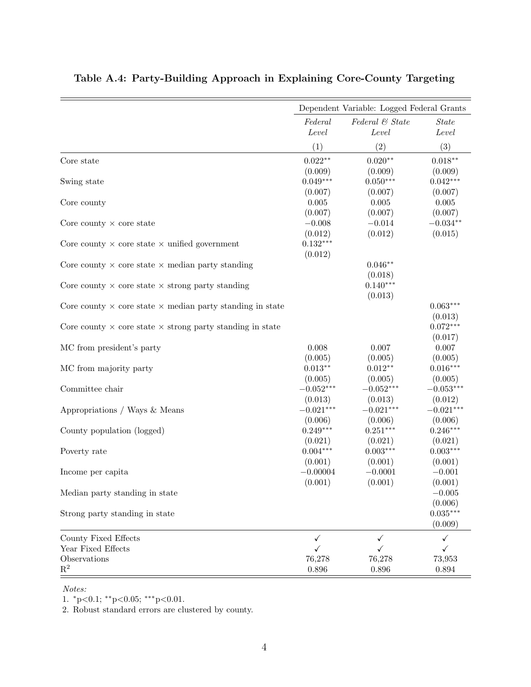|                                                                         |                                  | Dependent Variable: Logged Federal Grants |                                   |
|-------------------------------------------------------------------------|----------------------------------|-------------------------------------------|-----------------------------------|
|                                                                         | Federal<br>Level                 | Federal & State<br>Level                  | <i>State</i><br>Level             |
|                                                                         | (1)                              | (2)                                       | (3)                               |
| Core state                                                              | $0.022**$<br>(0.009)             | $0.020**$<br>(0.009)                      | $0.018**$<br>(0.009)              |
| Swing state                                                             | $0.049***$<br>(0.007)            | $0.050***$<br>(0.007)                     | $0.042***$<br>(0.007)             |
| Core county                                                             | 0.005<br>(0.007)                 | 0.005<br>(0.007)                          | 0.005<br>(0.007)                  |
| Core county $\times$ core state                                         | $-0.008$<br>(0.012)              | $-0.014$<br>(0.012)                       | $-0.034**$<br>(0.015)             |
| Core county $\times$ core state $\times$ unified government             | $0.132***$<br>(0.012)            |                                           |                                   |
| Core county $\times$ core state $\times$ median party standing          |                                  | $0.046**$<br>(0.018)                      |                                   |
| Core county $\times$ core state $\times$ strong party standing          |                                  | $0.140***$<br>(0.013)                     |                                   |
| Core county $\times$ core state $\times$ median party standing in state |                                  |                                           | $0.063***$<br>(0.013)             |
| Core county $\times$ core state $\times$ strong party standing in state |                                  |                                           | $0.072***$<br>(0.017)             |
| MC from president's party                                               | 0.008<br>(0.005)                 | 0.007<br>(0.005)                          | 0.007                             |
| MC from majority party                                                  | $0.013**$<br>(0.005)             | $0.012**$                                 | (0.005)<br>$0.016***$             |
| Committee chair                                                         | $-0.052***$<br>(0.013)           | (0.005)<br>$-0.052***$<br>(0.013)         | (0.005)<br>$-0.053***$<br>(0.012) |
| Appropriations / Ways & Means                                           | $-0.021***$<br>(0.006)           | $-0.021***$<br>(0.006)                    | $-0.021***$<br>(0.006)            |
| County population (logged)                                              | $0.249***$<br>(0.021)            | $0.251***$<br>(0.021)                     | $0.246***$<br>(0.021)             |
| Poverty rate                                                            | $0.004***$                       | $0.003***$                                | $0.003***$                        |
| Income per capita                                                       | (0.001)<br>$-0.00004$<br>(0.001) | (0.001)<br>$-0.0001$<br>(0.001)           | (0.001)<br>$-0.001$<br>(0.001)    |
| Median party standing in state                                          |                                  |                                           | $-0.005$                          |
| Strong party standing in state                                          |                                  |                                           | (0.006)<br>$0.035***$<br>(0.009)  |
| County Fixed Effects<br>Year Fixed Effects                              | ✓                                | $\checkmark$                              | ✓<br>✓                            |
| Observations<br>$\mathbf{R}^2$                                          | ✓<br>76,278<br>0.896             | ✓<br>76,278<br>$0.896\,$                  | 73,953<br>$\,0.894\,$             |

#### <span id="page-42-0"></span>Table A.4: Party-Building Approach in Explaining Core-County Targeting

Notes:

1. <sup>∗</sup>p<0.1; ∗∗p<0.05; ∗∗∗p<0.01.

2. Robust standard errors are clustered by county.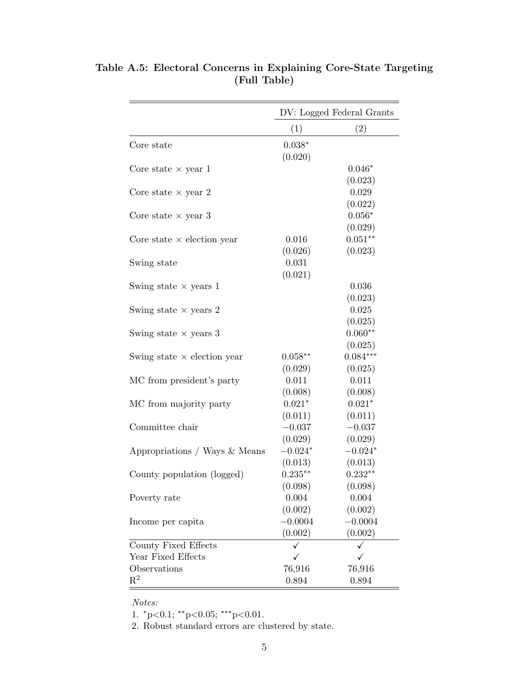|                                    | DV: Logged Federal Grants |            |  |
|------------------------------------|---------------------------|------------|--|
|                                    | (1)                       | (2)        |  |
| Core state                         | $0.038*$                  |            |  |
|                                    | (0.020)                   |            |  |
| Core state $\times$ year 1         |                           | $0.046*$   |  |
|                                    |                           | (0.023)    |  |
| Core state $\times$ year 2         |                           | 0.029      |  |
|                                    |                           | (0.022)    |  |
| Core state $\times$ year 3         |                           | $0.056*$   |  |
|                                    |                           | (0.029)    |  |
| Core state $\times$ election year  | 0.016                     | $0.051**$  |  |
|                                    | (0.026)                   | (0.023)    |  |
| Swing state                        | 0.031                     |            |  |
|                                    | (0.021)                   |            |  |
| Swing state $\times$ years 1       |                           | 0.036      |  |
|                                    |                           | (0.023)    |  |
| Swing state $\times$ years 2       |                           | 0.025      |  |
|                                    |                           | (0.025)    |  |
| Swing state $\times$ years 3       |                           | $0.060**$  |  |
|                                    |                           | (0.025)    |  |
| Swing state $\times$ election year | $0.058**$                 | $0.084***$ |  |
|                                    | (0.029)                   | (0.025)    |  |
| MC from president's party          | 0.011                     | 0.011      |  |
|                                    | (0.008)                   | (0.008)    |  |
| MC from majority party             | $0.021*$                  | $0.021*$   |  |
|                                    | (0.011)                   | (0.011)    |  |
| Committee chair                    | $-0.037$                  | $-0.037$   |  |
|                                    | (0.029)                   | (0.029)    |  |
| Appropriations / Ways & Means      | $-0.024*$                 | $-0.024*$  |  |
|                                    | (0.013)                   | (0.013)    |  |
| County population (logged)         | $0.235***$                | $0.232**$  |  |
|                                    | (0.098)                   | (0.098)    |  |
| Poverty rate                       | 0.004                     | 0.004      |  |
|                                    | (0.002)                   | (0.002)    |  |
| Income per capita                  | $-0.0004$                 | $-0.0004$  |  |
|                                    | (0.002)                   | (0.002)    |  |
| County Fixed Effects               | ✓                         |            |  |
| Year Fixed Effects                 | $\checkmark$              | ✓          |  |
| Observations                       | 76,916                    | 76,916     |  |
| $\mathrm{R}^2$                     | 0.894                     | 0.894      |  |

<span id="page-43-0"></span>Table A.5: Electoral Concerns in Explaining Core-State Targeting (Full Table)

Notes:

1.  ${}^*p<0.1$ ;  ${}^*p<0.05$ ;  ${}^{***}p<0.01$ .

2. Robust standard errors are clustered by state.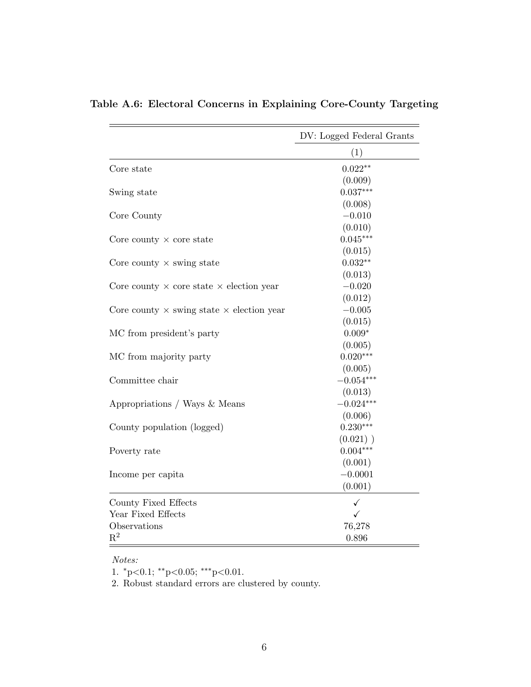|                                                         | DV: Logged Federal Grants |
|---------------------------------------------------------|---------------------------|
|                                                         | (1)                       |
| Core state                                              | $0.022**$                 |
|                                                         | (0.009)                   |
| Swing state                                             | $0.037***$                |
|                                                         | (0.008)                   |
| Core County                                             | $-0.010$                  |
|                                                         | (0.010)                   |
| Core county $\times$ core state                         | $0.045***$                |
|                                                         | (0.015)                   |
| Core county $\times$ swing state                        | $0.032**$                 |
|                                                         | (0.013)                   |
| Core county $\times$ core state $\times$ election year  | $-0.020$                  |
|                                                         | (0.012)                   |
| Core county $\times$ swing state $\times$ election year | $-0.005$                  |
|                                                         | (0.015)                   |
| MC from president's party                               | $0.009*$                  |
|                                                         | (0.005)                   |
| MC from majority party                                  | $0.020***$                |
|                                                         | (0.005)                   |
| Committee chair                                         | $-0.054***$               |
|                                                         | (0.013)                   |
| Appropriations / Ways & Means                           | $-0.024***$               |
|                                                         | (0.006)                   |
| County population (logged)                              | $0.230***$                |
|                                                         | $(0.021)$ )               |
| Poverty rate                                            | $0.004***$                |
|                                                         | (0.001)                   |
| Income per capita                                       | $-0.0001$                 |
|                                                         | (0.001)                   |
| County Fixed Effects                                    | ✓                         |
| Year Fixed Effects                                      | ✓                         |
| Observations                                            | 76,278                    |
| $\mathbf{R}^2$                                          | 0.896                     |

## <span id="page-44-0"></span>Table A.6: Electoral Concerns in Explaining Core-County Targeting

Notes:

1.  $^{*}p<0.1$ ;  $^{**}p<0.05$ ;  $^{***}p<0.01$ .

2. Robust standard errors are clustered by county.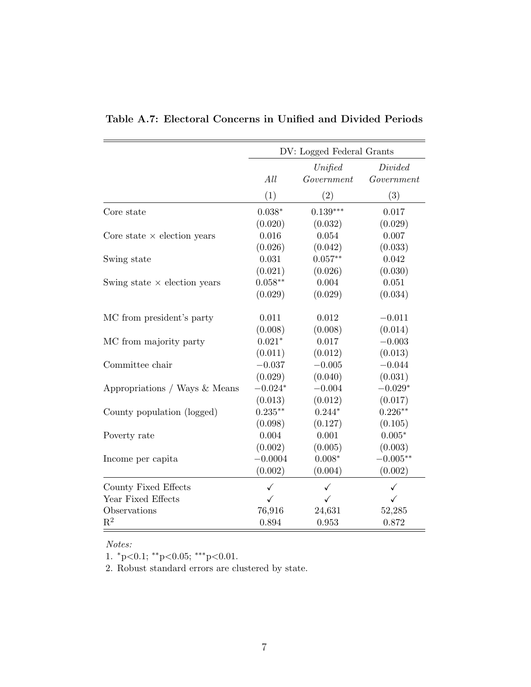|                                     | DV: Logged Federal Grants    |              |                       |  |
|-------------------------------------|------------------------------|--------------|-----------------------|--|
|                                     | Unified<br>Government<br>All |              | Divided<br>Government |  |
|                                     | (1)                          | (2)          | (3)                   |  |
| Core state                          | $0.038*$                     | $0.139***$   | 0.017                 |  |
|                                     | (0.020)                      | (0.032)      | (0.029)               |  |
| Core state $\times$ election years  | 0.016                        | 0.054        | 0.007                 |  |
|                                     | (0.026)                      | (0.042)      | (0.033)               |  |
| Swing state                         | 0.031                        | $0.057**$    | 0.042                 |  |
|                                     | (0.021)                      | (0.026)      | (0.030)               |  |
| Swing state $\times$ election years | $0.058**$                    | 0.004        | 0.051                 |  |
|                                     | (0.029)                      | (0.029)      | (0.034)               |  |
| MC from president's party           | 0.011                        | 0.012        | $-0.011$              |  |
|                                     | (0.008)                      | (0.008)      | (0.014)               |  |
| MC from majority party              | $0.021*$                     | 0.017        | $-0.003$              |  |
|                                     | (0.011)                      | (0.012)      | (0.013)               |  |
| Committee chair                     | $-0.037$                     | $-0.005$     | $-0.044$              |  |
|                                     | (0.029)                      | (0.040)      | (0.031)               |  |
| Appropriations / Ways & Means       | $-0.024*$                    | $-0.004$     | $-0.029*$             |  |
|                                     | (0.013)                      | (0.012)      | (0.017)               |  |
| County population (logged)          | $0.235***$                   | $0.244*$     | $0.226**$             |  |
|                                     | (0.098)                      | (0.127)      | (0.105)               |  |
| Poverty rate                        | 0.004                        | 0.001        | $0.005*$              |  |
|                                     | (0.002)                      | (0.005)      | (0.003)               |  |
| Income per capita                   | $-0.0004$                    | $0.008*$     | $-0.005**$            |  |
|                                     | (0.002)                      | (0.004)      | (0.002)               |  |
| County Fixed Effects                | $\checkmark$                 | $\checkmark$ | $\checkmark$          |  |
| Year Fixed Effects                  | $\checkmark$                 | ✓            | ✓                     |  |
| Observations                        | 76,916                       | 24,631       | 52,285                |  |
| $\mathrm{R}^2$                      | 0.894                        | 0.953        | 0.872                 |  |

<span id="page-45-0"></span>Table A.7: Electoral Concerns in Unified and Divided Periods

Notes:

1.  $^{*}p<0.1$ ;  $^{**}p<0.05$ ;  $^{***}p<0.01$ .

2. Robust standard errors are clustered by state.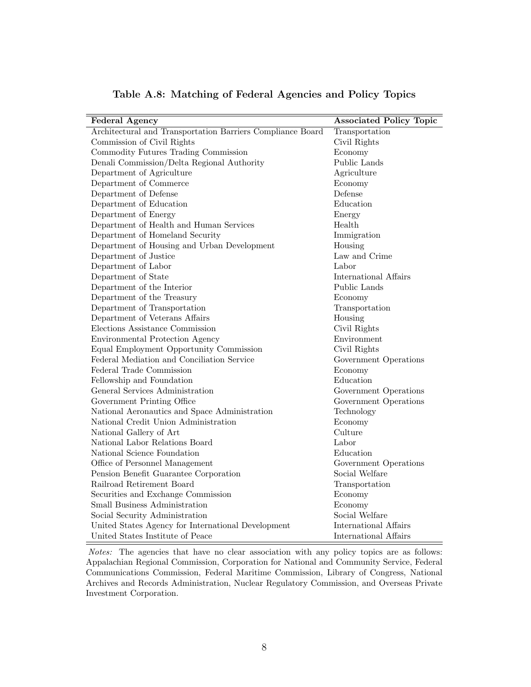<span id="page-46-0"></span>

| <b>Federal Agency</b>                                      | <b>Associated Policy Topic</b> |
|------------------------------------------------------------|--------------------------------|
| Architectural and Transportation Barriers Compliance Board | Transportation                 |
| Commission of Civil Rights                                 | Civil Rights                   |
| Commodity Futures Trading Commission                       | Economy                        |
| Denali Commission/Delta Regional Authority                 | Public Lands                   |
| Department of Agriculture                                  | Agriculture                    |
| Department of Commerce                                     | Economy                        |
| Department of Defense                                      | Defense                        |
| Department of Education                                    | Education                      |
| Department of Energy                                       | Energy                         |
| Department of Health and Human Services                    | Health                         |
| Department of Homeland Security                            | Immigration                    |
| Department of Housing and Urban Development                | Housing                        |
| Department of Justice                                      | Law and Crime                  |
| Department of Labor                                        | Labor                          |
| Department of State                                        | International Affairs          |
| Department of the Interior                                 | Public Lands                   |
| Department of the Treasury                                 | Economy                        |
| Department of Transportation                               | Transportation                 |
| Department of Veterans Affairs                             | Housing                        |
| Elections Assistance Commission                            | Civil Rights                   |
| <b>Environmental Protection Agency</b>                     | Environment                    |
| Equal Employment Opportunity Commission                    | Civil Rights                   |
| Federal Mediation and Conciliation Service                 | Government Operations          |
| Federal Trade Commission                                   | Economy                        |
| Fellowship and Foundation                                  | Education                      |
| General Services Administration                            | Government Operations          |
| Government Printing Office                                 | Government Operations          |
| National Aeronautics and Space Administration              | Technology                     |
| National Credit Union Administration                       | Economy                        |
| National Gallery of Art                                    | Culture                        |
| National Labor Relations Board                             | Labor                          |
| National Science Foundation                                | Education                      |
| Office of Personnel Management                             | Government Operations          |
| Pension Benefit Guarantee Corporation                      | Social Welfare                 |
| Railroad Retirement Board                                  | Transportation                 |
| Securities and Exchange Commission                         | Economy                        |
| Small Business Administration                              | Economy                        |
| Social Security Administration                             | Social Welfare                 |
| United States Agency for International Development         | <b>International Affairs</b>   |
| United States Institute of Peace                           | International Affairs          |

Table A.8: Matching of Federal Agencies and Policy Topics

Notes: The agencies that have no clear association with any policy topics are as follows: Appalachian Regional Commission, Corporation for National and Community Service, Federal Communications Commission, Federal Maritime Commission, Library of Congress, National Archives and Records Administration, Nuclear Regulatory Commission, and Overseas Private Investment Corporation.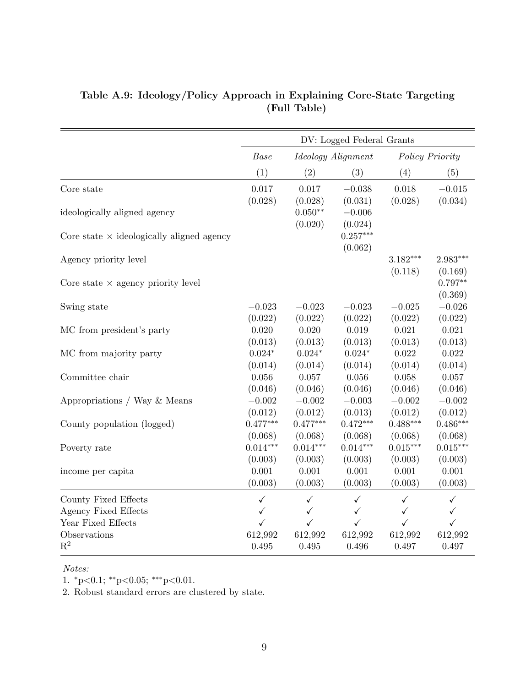|                                                  | DV: Logged Federal Grants |                                 |                                |                       |                       |
|--------------------------------------------------|---------------------------|---------------------------------|--------------------------------|-----------------------|-----------------------|
|                                                  | Base                      |                                 | <i>Ideology Alignment</i>      |                       | Policy Priority       |
|                                                  | (1)                       | (2)                             | (3)                            | (4)                   | (5)                   |
| Core state                                       | 0.017                     | 0.017                           | $-0.038$                       | 0.018                 | $-0.015$              |
| ideologically aligned agency                     | (0.028)                   | (0.028)<br>$0.050**$<br>(0.020) | (0.031)<br>$-0.006$<br>(0.024) | (0.028)               | (0.034)               |
| Core state $\times$ ideologically aligned agency |                           |                                 | $0.257***$<br>(0.062)          |                       |                       |
| Agency priority level                            |                           |                                 |                                | $3.182***$<br>(0.118) | $2.983***$<br>(0.169) |
| Core state $\times$ agency priority level        |                           |                                 |                                |                       | $0.797**$<br>(0.369)  |
| Swing state                                      | $-0.023$                  | $-0.023$                        | $-0.023$                       | $-0.025$              | $-0.026$              |
|                                                  | (0.022)                   | (0.022)                         | (0.022)                        | (0.022)               | (0.022)               |
| MC from president's party                        | 0.020                     | 0.020                           | 0.019                          | 0.021                 | 0.021                 |
|                                                  | (0.013)                   | (0.013)                         | (0.013)                        | (0.013)               | (0.013)               |
| MC from majority party                           | $0.024*$                  | $0.024*$                        | $0.024*$                       | 0.022                 | 0.022                 |
|                                                  | (0.014)                   | (0.014)                         | (0.014)                        | (0.014)               | (0.014)               |
| Committee chair                                  | 0.056                     | 0.057                           | $0.056\,$                      | 0.058                 | 0.057                 |
|                                                  | (0.046)                   | (0.046)                         | (0.046)                        | (0.046)               | (0.046)               |
| Appropriations / Way & Means                     | $-0.002$                  | $-0.002$                        | $-0.003$                       | $-0.002$              | $-0.002$              |
|                                                  | (0.012)                   | (0.012)                         | (0.013)                        | (0.012)               | (0.012)               |
| County population (logged)                       | $0.477***$                | $0.477***$                      | $0.472***$                     | $0.488***$            | $0.486***$            |
|                                                  | (0.068)                   | (0.068)                         | (0.068)                        | (0.068)               | (0.068)               |
| Poverty rate                                     | $0.014***$                | $0.014***$                      | $0.014***$                     | $0.015***$            | $0.015***$            |
|                                                  | (0.003)                   | (0.003)                         | (0.003)                        | (0.003)               | (0.003)               |
| income per capita                                | 0.001                     | 0.001                           | 0.001                          | 0.001                 | 0.001                 |
|                                                  | (0.003)                   | (0.003)                         | (0.003)                        | (0.003)               | (0.003)               |
| County Fixed Effects                             | $\checkmark$              | $\checkmark$                    | ✓                              | $\checkmark$          | $\checkmark$          |
| Agency Fixed Effects                             | ✓                         | $\checkmark$                    | $\checkmark$                   | $\checkmark$          | $\checkmark$          |
| Year Fixed Effects                               | $\checkmark$              | ✓                               | ✓                              | ✓                     | $\checkmark$          |
| Observations                                     | 612,992                   | 612,992                         | 612,992                        | 612,992               | 612,992               |
| $R^2$                                            | 0.495                     | 0.495                           | 0.496                          | 0.497                 | 0.497                 |

#### <span id="page-47-0"></span>Table A.9: Ideology/Policy Approach in Explaining Core-State Targeting (Full Table)

#### Notes:

1.  $^*p{<}0.1;$   $^{**}p{<}0.05;$   $^{***}p{<}0.01.$ 

2. Robust standard errors are clustered by state.